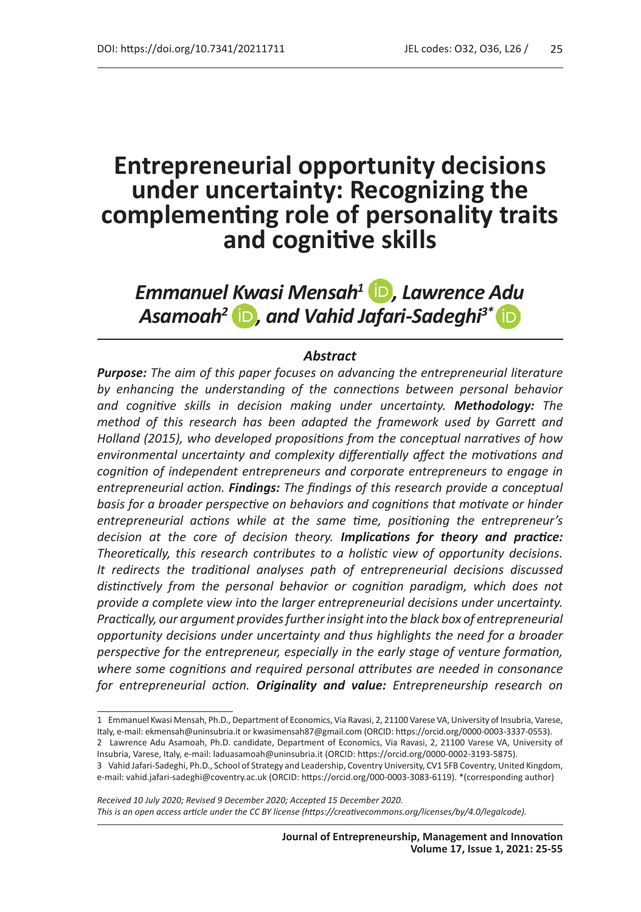# **Entrepreneurial opportunity decisions under uncertainty: Recognizing the complementing role of personality traits and cognitive skills**

*Emmanuel Kwasi Mensah1 , Lawrence Adu Asamoah2 , and Vahid Jafari-Sadeghi3\** 

#### *Abstract*

*Purpose: The aim of this paper focuses on advancing the entrepreneurial literature by enhancing the understanding of the connections between personal behavior and cognitive skills in decision making under uncertainty. Methodology: The method of this research has been adapted the framework used by Garrett and Holland (2015), who developed propositions from the conceptual narratives of how environmental uncertainty and complexity differentially affect the motivations and cognition of independent entrepreneurs and corporate entrepreneurs to engage in entrepreneurial action. Findings: The findings of this research provide a conceptual basis for a broader perspective on behaviors and cognitions that motivate or hinder entrepreneurial actions while at the same time, positioning the entrepreneur's decision at the core of decision theory. Implications for theory and practice: Theoretically, this research contributes to a holistic view of opportunity decisions. It redirects the traditional analyses path of entrepreneurial decisions discussed distinctively from the personal behavior or cognition paradigm, which does not provide a complete view into the larger entrepreneurial decisions under uncertainty. Practically, our argument provides further insight into the black box of entrepreneurial opportunity decisions under uncertainty and thus highlights the need for a broader perspective for the entrepreneur, especially in the early stage of venture formation, where some cognitions and required personal attributes are needed in consonance for entrepreneurial action. Originality and value: Entrepreneurship research on* 

*Received 10 July 2020; Revised 9 December 2020; Accepted 15 December 2020. This is an open access article under the CC BY license (https://creativecommons.org/licenses/by/4.0/legalcode).*

<sup>1</sup> Emmanuel Kwasi Mensah, Ph.D., Department of Economics, Via Ravasi, 2, 21100 Varese VA, University of Insubria, Varese, Italy, e-mail: ekmensah@uninsubria.it or kwasimensah87@gmail.com (ORCID: https://orcid.org/0000-0003-3337-0553).

<sup>2</sup> Lawrence Adu Asamoah, Ph.D. candidate, Department of Economics, Via Ravasi, 2, 21100 Varese VA, University of Insubria, Varese, Italy, e-mail: laduasamoah@uninsubria.it (ORCID: https://orcid.org/0000-0002-3193-5875).

<sup>3</sup> Vahid Jafari-Sadeghi, Ph.D., School of Strategy and Leadership, Coventry University, CV1 5FB Coventry, United Kingdom, e-mail: vahid.jafari-sadeghi@coventry.ac.uk (ORCID: https://orcid.org/000-0003-3083-6119). \*(corresponding author)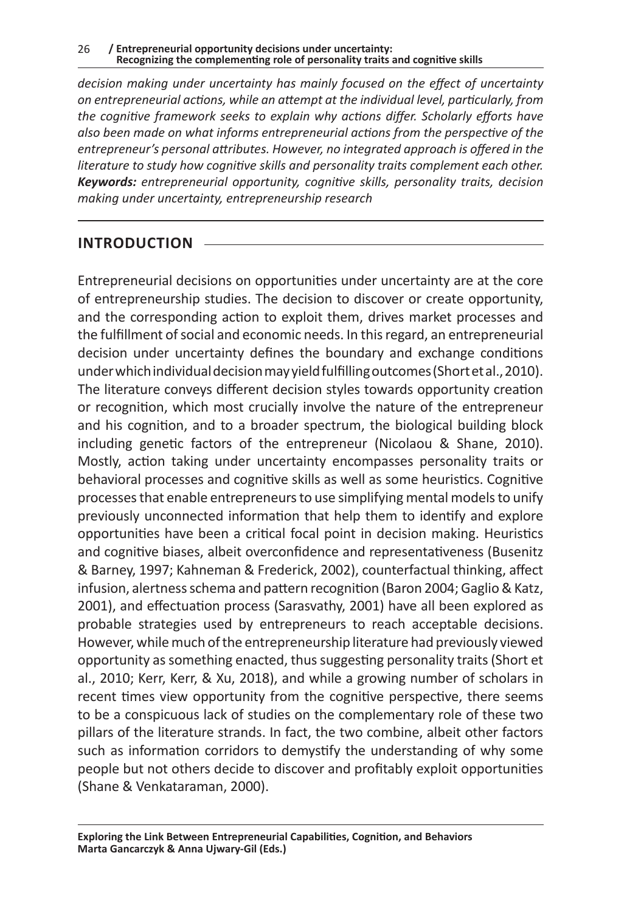*decision making under uncertainty has mainly focused on the effect of uncertainty on entrepreneurial actions, while an attempt at the individual level, particularly, from the cognitive framework seeks to explain why actions differ. Scholarly efforts have also been made on what informs entrepreneurial actions from the perspective of the entrepreneur's personal attributes. However, no integrated approach is offered in the literature to study how cognitive skills and personality traits complement each other. Keywords: entrepreneurial opportunity, cognitive skills, personality traits, decision making under uncertainty, entrepreneurship research*

#### **INTRODUCTION**

Entrepreneurial decisions on opportunities under uncertainty are at the core of entrepreneurship studies. The decision to discover or create opportunity, and the corresponding action to exploit them, drives market processes and the fulfillment of social and economic needs. In this regard, an entrepreneurial decision under uncertainty defines the boundary and exchange conditions under which individual decision may yield fulfilling outcomes (Short et al., 2010). The literature conveys different decision styles towards opportunity creation or recognition, which most crucially involve the nature of the entrepreneur and his cognition, and to a broader spectrum, the biological building block including genetic factors of the entrepreneur (Nicolaou & Shane, 2010). Mostly, action taking under uncertainty encompasses personality traits or behavioral processes and cognitive skills as well as some heuristics. Cognitive processes that enable entrepreneurs to use simplifying mental models to unify previously unconnected information that help them to identify and explore opportunities have been a critical focal point in decision making. Heuristics and cognitive biases, albeit overconfidence and representativeness (Busenitz & Barney, 1997; Kahneman & Frederick, 2002), counterfactual thinking, affect infusion, alertness schema and pattern recognition (Baron 2004; Gaglio & Katz, 2001), and effectuation process (Sarasvathy, 2001) have all been explored as probable strategies used by entrepreneurs to reach acceptable decisions. However, while much of the entrepreneurship literature had previously viewed opportunity as something enacted, thus suggesting personality traits (Short et al., 2010; Kerr, Kerr, & Xu, 2018), and while a growing number of scholars in recent times view opportunity from the cognitive perspective, there seems to be a conspicuous lack of studies on the complementary role of these two pillars of the literature strands. In fact, the two combine, albeit other factors such as information corridors to demystify the understanding of why some people but not others decide to discover and profitably exploit opportunities (Shane & Venkataraman, 2000).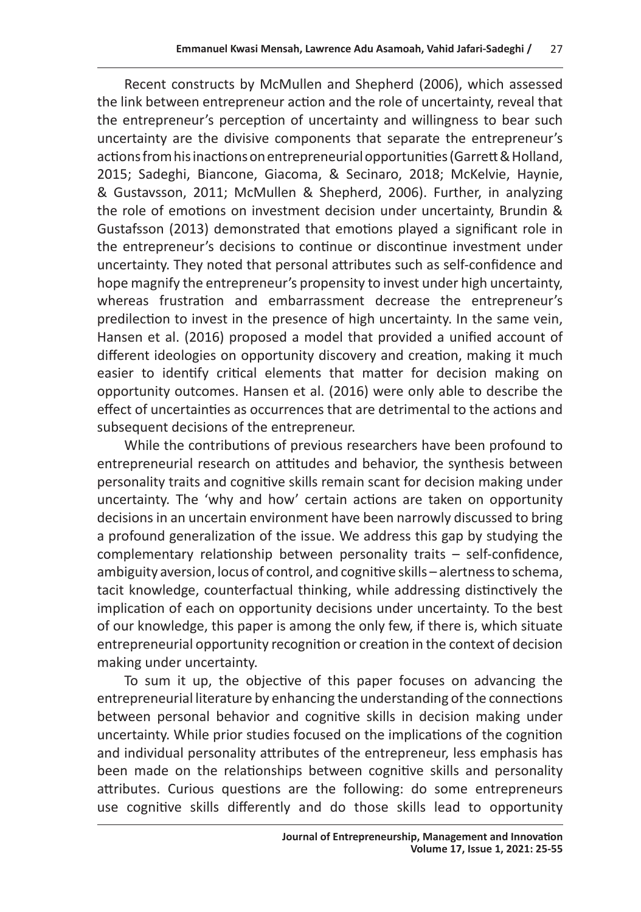Recent constructs by McMullen and Shepherd (2006), which assessed the link between entrepreneur action and the role of uncertainty, reveal that the entrepreneur's perception of uncertainty and willingness to bear such uncertainty are the divisive components that separate the entrepreneur's actions from his inactions on entrepreneurial opportunities (Garrett & Holland, 2015; Sadeghi, Biancone, Giacoma, & Secinaro, 2018; McKelvie, Haynie, & Gustavsson, 2011; McMullen & Shepherd, 2006). Further, in analyzing the role of emotions on investment decision under uncertainty, Brundin & Gustafsson (2013) demonstrated that emotions played a significant role in the entrepreneur's decisions to continue or discontinue investment under uncertainty. They noted that personal attributes such as self-confidence and hope magnify the entrepreneur's propensity to invest under high uncertainty, whereas frustration and embarrassment decrease the entrepreneur's predilection to invest in the presence of high uncertainty. In the same vein, Hansen et al. (2016) proposed a model that provided a unified account of different ideologies on opportunity discovery and creation, making it much easier to identify critical elements that matter for decision making on opportunity outcomes. Hansen et al. (2016) were only able to describe the effect of uncertainties as occurrences that are detrimental to the actions and subsequent decisions of the entrepreneur.

While the contributions of previous researchers have been profound to entrepreneurial research on attitudes and behavior, the synthesis between personality traits and cognitive skills remain scant for decision making under uncertainty. The 'why and how' certain actions are taken on opportunity decisions in an uncertain environment have been narrowly discussed to bring a profound generalization of the issue. We address this gap by studying the complementary relationship between personality traits – self-confidence, ambiguity aversion, locus of control, and cognitive skills – alertness to schema, tacit knowledge, counterfactual thinking, while addressing distinctively the implication of each on opportunity decisions under uncertainty. To the best of our knowledge, this paper is among the only few, if there is, which situate entrepreneurial opportunity recognition or creation in the context of decision making under uncertainty.

To sum it up, the objective of this paper focuses on advancing the entrepreneurial literature by enhancing the understanding of the connections between personal behavior and cognitive skills in decision making under uncertainty. While prior studies focused on the implications of the cognition and individual personality attributes of the entrepreneur, less emphasis has been made on the relationships between cognitive skills and personality attributes. Curious questions are the following: do some entrepreneurs use cognitive skills differently and do those skills lead to opportunity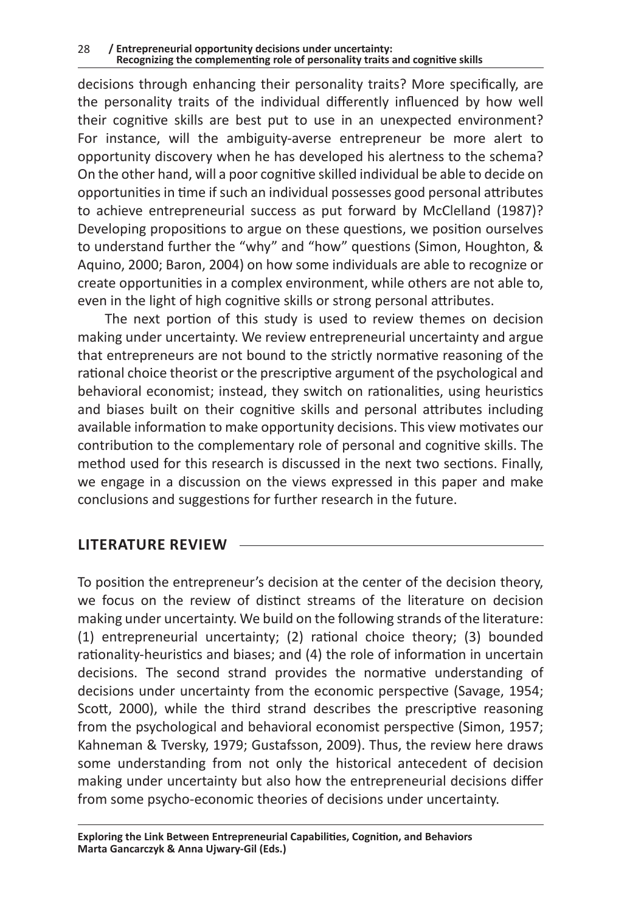decisions through enhancing their personality traits? More specifically, are the personality traits of the individual differently influenced by how well their cognitive skills are best put to use in an unexpected environment? For instance, will the ambiguity-averse entrepreneur be more alert to opportunity discovery when he has developed his alertness to the schema? On the other hand, will a poor cognitive skilled individual be able to decide on opportunities in time if such an individual possesses good personal attributes to achieve entrepreneurial success as put forward by McClelland (1987)? Developing propositions to argue on these questions, we position ourselves to understand further the "why" and "how" questions (Simon, Houghton, & Aquino, 2000; Baron, 2004) on how some individuals are able to recognize or create opportunities in a complex environment, while others are not able to, even in the light of high cognitive skills or strong personal attributes.

The next portion of this study is used to review themes on decision making under uncertainty. We review entrepreneurial uncertainty and argue that entrepreneurs are not bound to the strictly normative reasoning of the rational choice theorist or the prescriptive argument of the psychological and behavioral economist; instead, they switch on rationalities, using heuristics and biases built on their cognitive skills and personal attributes including available information to make opportunity decisions. This view motivates our contribution to the complementary role of personal and cognitive skills. The method used for this research is discussed in the next two sections. Finally, we engage in a discussion on the views expressed in this paper and make conclusions and suggestions for further research in the future.

#### **LITERATURE REVIEW**

To position the entrepreneur's decision at the center of the decision theory, we focus on the review of distinct streams of the literature on decision making under uncertainty. We build on the following strands of the literature: (1) entrepreneurial uncertainty; (2) rational choice theory; (3) bounded rationality-heuristics and biases; and (4) the role of information in uncertain decisions. The second strand provides the normative understanding of decisions under uncertainty from the economic perspective (Savage, 1954; Scott, 2000), while the third strand describes the prescriptive reasoning from the psychological and behavioral economist perspective (Simon, 1957; Kahneman & Tversky, 1979; Gustafsson, 2009). Thus, the review here draws some understanding from not only the historical antecedent of decision making under uncertainty but also how the entrepreneurial decisions differ from some psycho-economic theories of decisions under uncertainty.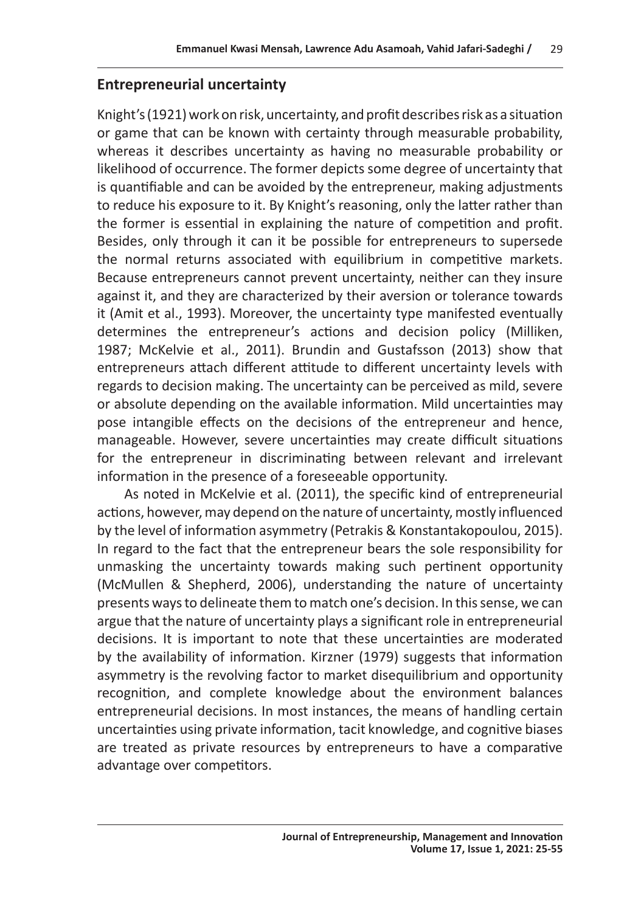#### **Entrepreneurial uncertainty**

Knight's (1921) work on risk, uncertainty, and profit describes risk as a situation or game that can be known with certainty through measurable probability, whereas it describes uncertainty as having no measurable probability or likelihood of occurrence. The former depicts some degree of uncertainty that is quantifiable and can be avoided by the entrepreneur, making adjustments to reduce his exposure to it. By Knight's reasoning, only the latter rather than the former is essential in explaining the nature of competition and profit. Besides, only through it can it be possible for entrepreneurs to supersede the normal returns associated with equilibrium in competitive markets. Because entrepreneurs cannot prevent uncertainty, neither can they insure against it, and they are characterized by their aversion or tolerance towards it (Amit et al., 1993). Moreover, the uncertainty type manifested eventually determines the entrepreneur's actions and decision policy (Milliken, 1987; McKelvie et al., 2011). Brundin and Gustafsson (2013) show that entrepreneurs attach different attitude to different uncertainty levels with regards to decision making. The uncertainty can be perceived as mild, severe or absolute depending on the available information. Mild uncertainties may pose intangible effects on the decisions of the entrepreneur and hence, manageable. However, severe uncertainties may create difficult situations for the entrepreneur in discriminating between relevant and irrelevant information in the presence of a foreseeable opportunity.

As noted in McKelvie et al. (2011), the specific kind of entrepreneurial actions, however, may depend on the nature of uncertainty, mostly influenced by the level of information asymmetry (Petrakis & Konstantakopoulou, 2015). In regard to the fact that the entrepreneur bears the sole responsibility for unmasking the uncertainty towards making such pertinent opportunity (McMullen & Shepherd, 2006), understanding the nature of uncertainty presents ways to delineate them to match one's decision. In this sense, we can argue that the nature of uncertainty plays a significant role in entrepreneurial decisions. It is important to note that these uncertainties are moderated by the availability of information. Kirzner (1979) suggests that information asymmetry is the revolving factor to market disequilibrium and opportunity recognition, and complete knowledge about the environment balances entrepreneurial decisions. In most instances, the means of handling certain uncertainties using private information, tacit knowledge, and cognitive biases are treated as private resources by entrepreneurs to have a comparative advantage over competitors.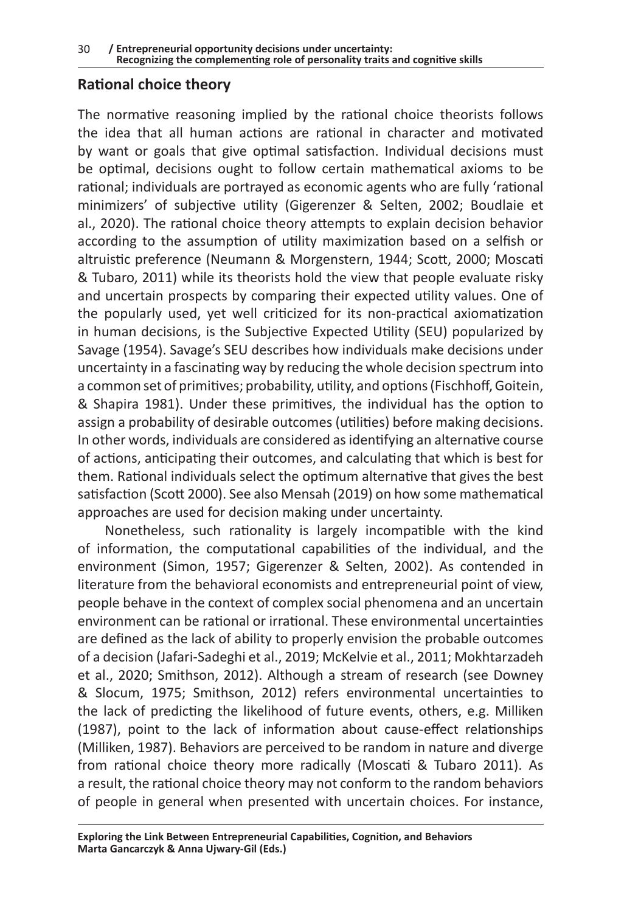#### **Rational choice theory**

The normative reasoning implied by the rational choice theorists follows the idea that all human actions are rational in character and motivated by want or goals that give optimal satisfaction. Individual decisions must be optimal, decisions ought to follow certain mathematical axioms to be rational; individuals are portrayed as economic agents who are fully 'rational minimizers' of subjective utility (Gigerenzer & Selten, 2002; Boudlaie et al., 2020). The rational choice theory attempts to explain decision behavior according to the assumption of utility maximization based on a selfish or altruistic preference (Neumann & Morgenstern, 1944; Scott, 2000; Moscati & Tubaro, 2011) while its theorists hold the view that people evaluate risky and uncertain prospects by comparing their expected utility values. One of the popularly used, yet well criticized for its non-practical axiomatization in human decisions, is the Subjective Expected Utility (SEU) popularized by Savage (1954). Savage's SEU describes how individuals make decisions under uncertainty in a fascinating way by reducing the whole decision spectrum into a common set of primitives; probability, utility, and options (Fischhoff, Goitein, & Shapira 1981). Under these primitives, the individual has the option to assign a probability of desirable outcomes (utilities) before making decisions. In other words, individuals are considered as identifying an alternative course of actions, anticipating their outcomes, and calculating that which is best for them. Rational individuals select the optimum alternative that gives the best satisfaction (Scott 2000). See also Mensah (2019) on how some mathematical approaches are used for decision making under uncertainty.

Nonetheless, such rationality is largely incompatible with the kind of information, the computational capabilities of the individual, and the environment (Simon, 1957; Gigerenzer & Selten, 2002). As contended in literature from the behavioral economists and entrepreneurial point of view, people behave in the context of complex social phenomena and an uncertain environment can be rational or irrational. These environmental uncertainties are defined as the lack of ability to properly envision the probable outcomes of a decision (Jafari-Sadeghi et al., 2019; McKelvie et al., 2011; Mokhtarzadeh et al., 2020; Smithson, 2012). Although a stream of research (see Downey & Slocum, 1975; Smithson, 2012) refers environmental uncertainties to the lack of predicting the likelihood of future events, others, e.g. Milliken (1987), point to the lack of information about cause-effect relationships (Milliken, 1987). Behaviors are perceived to be random in nature and diverge from rational choice theory more radically (Moscati & Tubaro 2011). As a result, the rational choice theory may not conform to the random behaviors of people in general when presented with uncertain choices. For instance,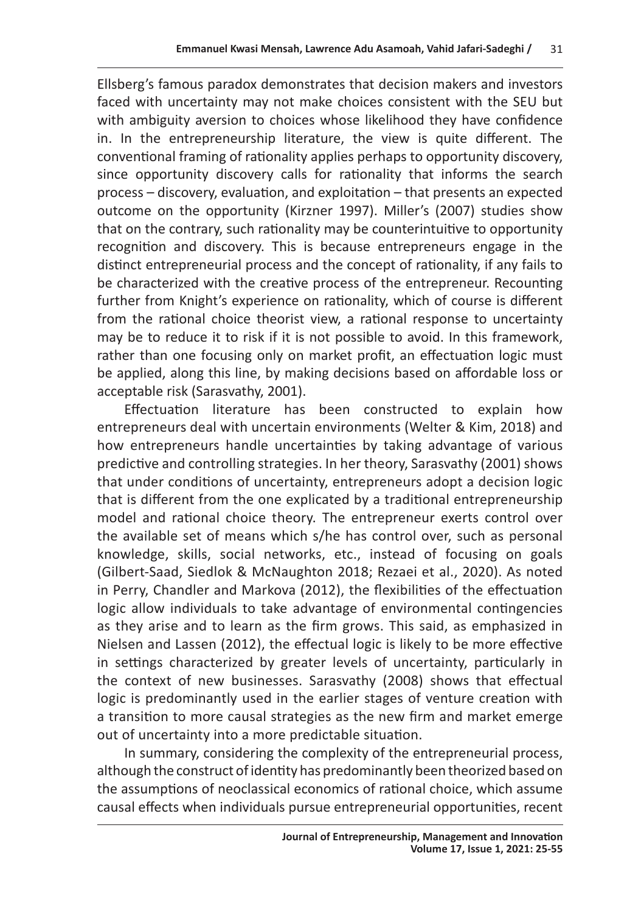Ellsberg's famous paradox demonstrates that decision makers and investors faced with uncertainty may not make choices consistent with the SEU but with ambiguity aversion to choices whose likelihood they have confidence in. In the entrepreneurship literature, the view is quite different. The conventional framing of rationality applies perhaps to opportunity discovery, since opportunity discovery calls for rationality that informs the search process – discovery, evaluation, and exploitation – that presents an expected outcome on the opportunity (Kirzner 1997). Miller's (2007) studies show that on the contrary, such rationality may be counterintuitive to opportunity recognition and discovery. This is because entrepreneurs engage in the distinct entrepreneurial process and the concept of rationality, if any fails to be characterized with the creative process of the entrepreneur. Recounting further from Knight's experience on rationality, which of course is different from the rational choice theorist view, a rational response to uncertainty may be to reduce it to risk if it is not possible to avoid. In this framework, rather than one focusing only on market profit, an effectuation logic must be applied, along this line, by making decisions based on affordable loss or acceptable risk (Sarasvathy, 2001).

Effectuation literature has been constructed to explain how entrepreneurs deal with uncertain environments (Welter & Kim, 2018) and how entrepreneurs handle uncertainties by taking advantage of various predictive and controlling strategies. In her theory, Sarasvathy (2001) shows that under conditions of uncertainty, entrepreneurs adopt a decision logic that is different from the one explicated by a traditional entrepreneurship model and rational choice theory. The entrepreneur exerts control over the available set of means which s/he has control over, such as personal knowledge, skills, social networks, etc., instead of focusing on goals (Gilbert-Saad, Siedlok & McNaughton 2018; Rezaei et al., 2020). As noted in Perry, Chandler and Markova (2012), the flexibilities of the effectuation logic allow individuals to take advantage of environmental contingencies as they arise and to learn as the firm grows. This said, as emphasized in Nielsen and Lassen (2012), the effectual logic is likely to be more effective in settings characterized by greater levels of uncertainty, particularly in the context of new businesses. Sarasvathy (2008) shows that effectual logic is predominantly used in the earlier stages of venture creation with a transition to more causal strategies as the new firm and market emerge out of uncertainty into a more predictable situation.

In summary, considering the complexity of the entrepreneurial process, although the construct of identity has predominantly been theorized based on the assumptions of neoclassical economics of rational choice, which assume causal effects when individuals pursue entrepreneurial opportunities, recent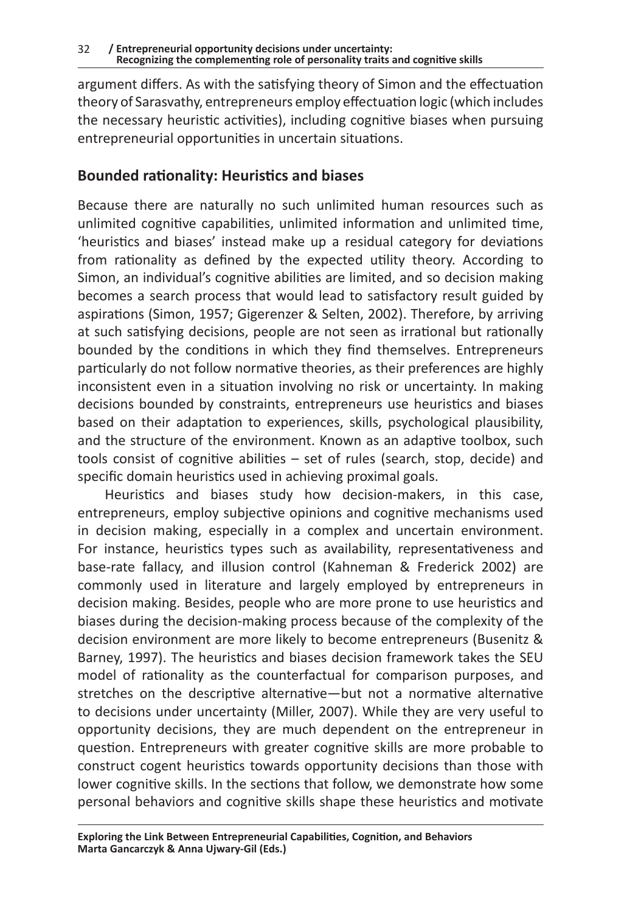argument differs. As with the satisfying theory of Simon and the effectuation theory of Sarasvathy, entrepreneurs employ effectuation logic (which includes the necessary heuristic activities), including cognitive biases when pursuing entrepreneurial opportunities in uncertain situations.

#### **Bounded rationality: Heuristics and biases**

Because there are naturally no such unlimited human resources such as unlimited cognitive capabilities, unlimited information and unlimited time, 'heuristics and biases' instead make up a residual category for deviations from rationality as defined by the expected utility theory. According to Simon, an individual's cognitive abilities are limited, and so decision making becomes a search process that would lead to satisfactory result guided by aspirations (Simon, 1957; Gigerenzer & Selten, 2002). Therefore, by arriving at such satisfying decisions, people are not seen as irrational but rationally bounded by the conditions in which they find themselves. Entrepreneurs particularly do not follow normative theories, as their preferences are highly inconsistent even in a situation involving no risk or uncertainty. In making decisions bounded by constraints, entrepreneurs use heuristics and biases based on their adaptation to experiences, skills, psychological plausibility, and the structure of the environment. Known as an adaptive toolbox, such tools consist of cognitive abilities – set of rules (search, stop, decide) and specific domain heuristics used in achieving proximal goals.

Heuristics and biases study how decision-makers, in this case, entrepreneurs, employ subjective opinions and cognitive mechanisms used in decision making, especially in a complex and uncertain environment. For instance, heuristics types such as availability, representativeness and base-rate fallacy, and illusion control (Kahneman & Frederick 2002) are commonly used in literature and largely employed by entrepreneurs in decision making. Besides, people who are more prone to use heuristics and biases during the decision-making process because of the complexity of the decision environment are more likely to become entrepreneurs (Busenitz & Barney, 1997). The heuristics and biases decision framework takes the SEU model of rationality as the counterfactual for comparison purposes, and stretches on the descriptive alternative—but not a normative alternative to decisions under uncertainty (Miller, 2007). While they are very useful to opportunity decisions, they are much dependent on the entrepreneur in question. Entrepreneurs with greater cognitive skills are more probable to construct cogent heuristics towards opportunity decisions than those with lower cognitive skills. In the sections that follow, we demonstrate how some personal behaviors and cognitive skills shape these heuristics and motivate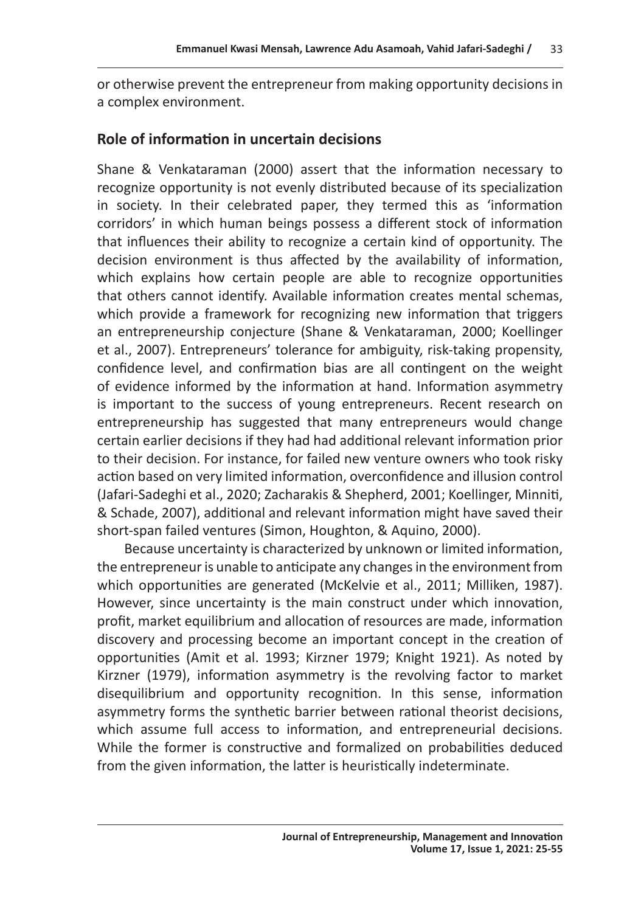or otherwise prevent the entrepreneur from making opportunity decisions in a complex environment.

#### **Role of information in uncertain decisions**

Shane & Venkataraman (2000) assert that the information necessary to recognize opportunity is not evenly distributed because of its specialization in society. In their celebrated paper, they termed this as 'information corridors' in which human beings possess a different stock of information that influences their ability to recognize a certain kind of opportunity. The decision environment is thus affected by the availability of information, which explains how certain people are able to recognize opportunities that others cannot identify. Available information creates mental schemas, which provide a framework for recognizing new information that triggers an entrepreneurship conjecture (Shane & Venkataraman, 2000; Koellinger et al., 2007). Entrepreneurs' tolerance for ambiguity, risk-taking propensity, confidence level, and confirmation bias are all contingent on the weight of evidence informed by the information at hand. Information asymmetry is important to the success of young entrepreneurs. Recent research on entrepreneurship has suggested that many entrepreneurs would change certain earlier decisions if they had had additional relevant information prior to their decision. For instance, for failed new venture owners who took risky action based on very limited information, overconfidence and illusion control (Jafari-Sadeghi et al., 2020; Zacharakis & Shepherd, 2001; Koellinger, Minniti, & Schade, 2007), additional and relevant information might have saved their short-span failed ventures (Simon, Houghton, & Aquino, 2000).

Because uncertainty is characterized by unknown or limited information, the entrepreneur is unable to anticipate any changes in the environment from which opportunities are generated (McKelvie et al., 2011; Milliken, 1987). However, since uncertainty is the main construct under which innovation, profit, market equilibrium and allocation of resources are made, information discovery and processing become an important concept in the creation of opportunities (Amit et al. 1993; Kirzner 1979; Knight 1921). As noted by Kirzner (1979), information asymmetry is the revolving factor to market disequilibrium and opportunity recognition. In this sense, information asymmetry forms the synthetic barrier between rational theorist decisions, which assume full access to information, and entrepreneurial decisions. While the former is constructive and formalized on probabilities deduced from the given information, the latter is heuristically indeterminate.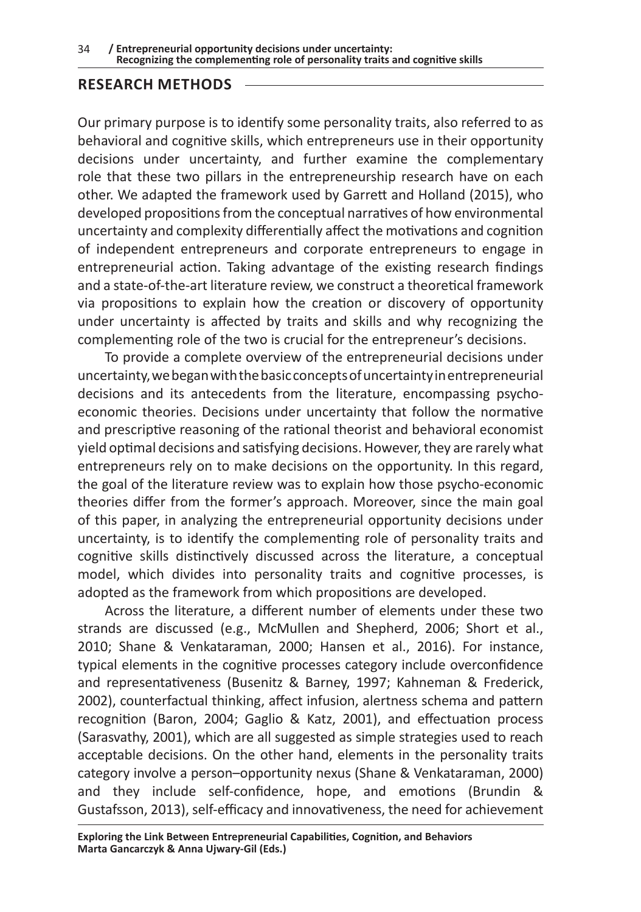#### **RESEARCH METHODS**

Our primary purpose is to identify some personality traits, also referred to as behavioral and cognitive skills, which entrepreneurs use in their opportunity decisions under uncertainty, and further examine the complementary role that these two pillars in the entrepreneurship research have on each other. We adapted the framework used by Garrett and Holland (2015), who developed propositions from the conceptual narratives of how environmental uncertainty and complexity differentially affect the motivations and cognition of independent entrepreneurs and corporate entrepreneurs to engage in entrepreneurial action. Taking advantage of the existing research findings and a state-of-the-art literature review, we construct a theoretical framework via propositions to explain how the creation or discovery of opportunity under uncertainty is affected by traits and skills and why recognizing the complementing role of the two is crucial for the entrepreneur's decisions.

To provide a complete overview of the entrepreneurial decisions under uncertainty, we began with the basic concepts of uncertainty in entrepreneurial decisions and its antecedents from the literature, encompassing psychoeconomic theories. Decisions under uncertainty that follow the normative and prescriptive reasoning of the rational theorist and behavioral economist yield optimal decisions and satisfying decisions. However, they are rarely what entrepreneurs rely on to make decisions on the opportunity. In this regard, the goal of the literature review was to explain how those psycho-economic theories differ from the former's approach. Moreover, since the main goal of this paper, in analyzing the entrepreneurial opportunity decisions under uncertainty, is to identify the complementing role of personality traits and cognitive skills distinctively discussed across the literature, a conceptual model, which divides into personality traits and cognitive processes, is adopted as the framework from which propositions are developed.

Across the literature, a different number of elements under these two strands are discussed (e.g., McMullen and Shepherd, 2006; Short et al., 2010; Shane & Venkataraman, 2000; Hansen et al., 2016). For instance, typical elements in the cognitive processes category include overconfidence and representativeness (Busenitz & Barney, 1997; Kahneman & Frederick, 2002), counterfactual thinking, affect infusion, alertness schema and pattern recognition (Baron, 2004; Gaglio & Katz, 2001), and effectuation process (Sarasvathy, 2001), which are all suggested as simple strategies used to reach acceptable decisions. On the other hand, elements in the personality traits category involve a person–opportunity nexus (Shane & Venkataraman, 2000) and they include self-confidence, hope, and emotions (Brundin & Gustafsson, 2013), self-efficacy and innovativeness, the need for achievement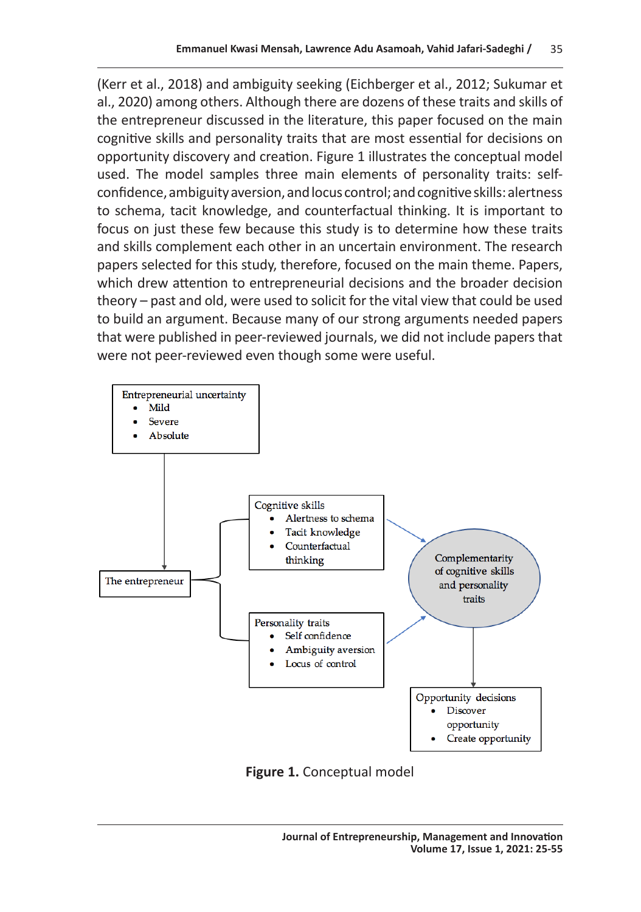(Kerr et al., 2018) and ambiguity seeking (Eichberger et al., 2012; Sukumar et al., 2020) among others. Although there are dozens of these traits and skills of the entrepreneur discussed in the literature, this paper focused on the main cognitive skills and personality traits that are most essential for decisions on opportunity discovery and creation. Figure 1 illustrates the conceptual model used. The model samples three main elements of personality traits: selfconfidence, ambiguity aversion, and locus control; and cognitive skills: alertness to schema, tacit knowledge, and counterfactual thinking. It is important to focus on just these few because this study is to determine how these traits and skills complement each other in an uncertain environment. The research papers selected for this study, therefore, focused on the main theme. Papers, which drew attention to entrepreneurial decisions and the broader decision theory – past and old, were used to solicit for the vital view that could be used to build an argument. Because many of our strong arguments needed papers that were published in peer-reviewed journals, we did not include papers that were not peer-reviewed even though some were useful.



**Figure 1.** Conceptual model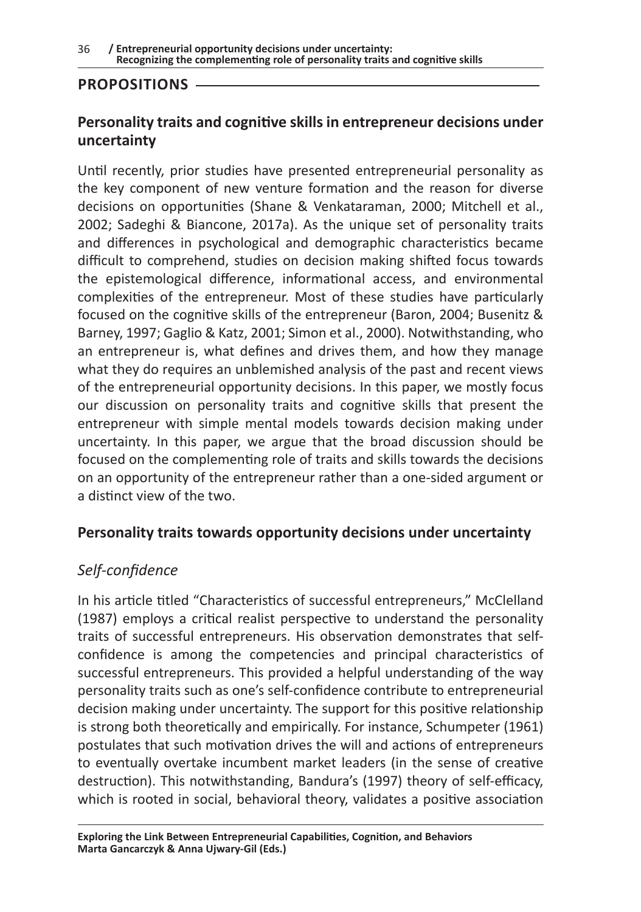#### **PROPOSITIONS**

#### **Personality traits and cognitive skills in entrepreneur decisions under uncertainty**

Until recently, prior studies have presented entrepreneurial personality as the key component of new venture formation and the reason for diverse decisions on opportunities (Shane & Venkataraman, 2000; Mitchell et al., 2002; Sadeghi & Biancone, 2017a). As the unique set of personality traits and differences in psychological and demographic characteristics became difficult to comprehend, studies on decision making shifted focus towards the epistemological difference, informational access, and environmental complexities of the entrepreneur. Most of these studies have particularly focused on the cognitive skills of the entrepreneur (Baron, 2004; Busenitz & Barney, 1997; Gaglio & Katz, 2001; Simon et al., 2000). Notwithstanding, who an entrepreneur is, what defines and drives them, and how they manage what they do requires an unblemished analysis of the past and recent views of the entrepreneurial opportunity decisions. In this paper, we mostly focus our discussion on personality traits and cognitive skills that present the entrepreneur with simple mental models towards decision making under uncertainty. In this paper, we argue that the broad discussion should be focused on the complementing role of traits and skills towards the decisions on an opportunity of the entrepreneur rather than a one-sided argument or a distinct view of the two.

#### **Personality traits towards opportunity decisions under uncertainty**

#### *Self-confidence*

In his article titled "Characteristics of successful entrepreneurs," McClelland (1987) employs a critical realist perspective to understand the personality traits of successful entrepreneurs. His observation demonstrates that selfconfidence is among the competencies and principal characteristics of successful entrepreneurs. This provided a helpful understanding of the way personality traits such as one's self-confidence contribute to entrepreneurial decision making under uncertainty. The support for this positive relationship is strong both theoretically and empirically. For instance, Schumpeter (1961) postulates that such motivation drives the will and actions of entrepreneurs to eventually overtake incumbent market leaders (in the sense of creative destruction). This notwithstanding, Bandura's (1997) theory of self-efficacy, which is rooted in social, behavioral theory, validates a positive association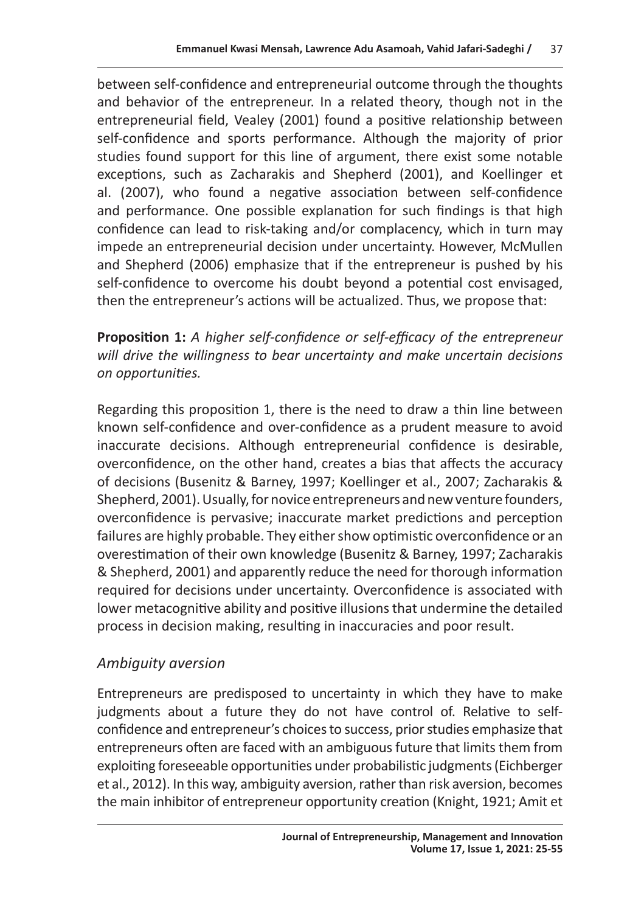between self-confidence and entrepreneurial outcome through the thoughts and behavior of the entrepreneur. In a related theory, though not in the entrepreneurial field, Vealey (2001) found a positive relationship between self-confidence and sports performance. Although the majority of prior studies found support for this line of argument, there exist some notable exceptions, such as Zacharakis and Shepherd (2001), and Koellinger et al. (2007), who found a negative association between self-confidence and performance. One possible explanation for such findings is that high confidence can lead to risk-taking and/or complacency, which in turn may impede an entrepreneurial decision under uncertainty. However, McMullen and Shepherd (2006) emphasize that if the entrepreneur is pushed by his self-confidence to overcome his doubt beyond a potential cost envisaged, then the entrepreneur's actions will be actualized. Thus, we propose that:

**Proposition 1:** *A higher self-confidence or self-efficacy of the entrepreneur will drive the willingness to bear uncertainty and make uncertain decisions on opportunities.* 

Regarding this proposition 1, there is the need to draw a thin line between known self-confidence and over-confidence as a prudent measure to avoid inaccurate decisions. Although entrepreneurial confidence is desirable, overconfidence, on the other hand, creates a bias that affects the accuracy of decisions (Busenitz & Barney, 1997; Koellinger et al., 2007; Zacharakis & Shepherd, 2001). Usually, for novice entrepreneurs and new venture founders, overconfidence is pervasive; inaccurate market predictions and perception failures are highly probable. They either show optimistic overconfidence or an overestimation of their own knowledge (Busenitz & Barney, 1997; Zacharakis & Shepherd, 2001) and apparently reduce the need for thorough information required for decisions under uncertainty. Overconfidence is associated with lower metacognitive ability and positive illusions that undermine the detailed process in decision making, resulting in inaccuracies and poor result.

# *Ambiguity aversion*

Entrepreneurs are predisposed to uncertainty in which they have to make judgments about a future they do not have control of. Relative to selfconfidence and entrepreneur's choices to success, prior studies emphasize that entrepreneurs often are faced with an ambiguous future that limits them from exploiting foreseeable opportunities under probabilistic judgments (Eichberger et al., 2012). In this way, ambiguity aversion, rather than risk aversion, becomes the main inhibitor of entrepreneur opportunity creation (Knight, 1921; Amit et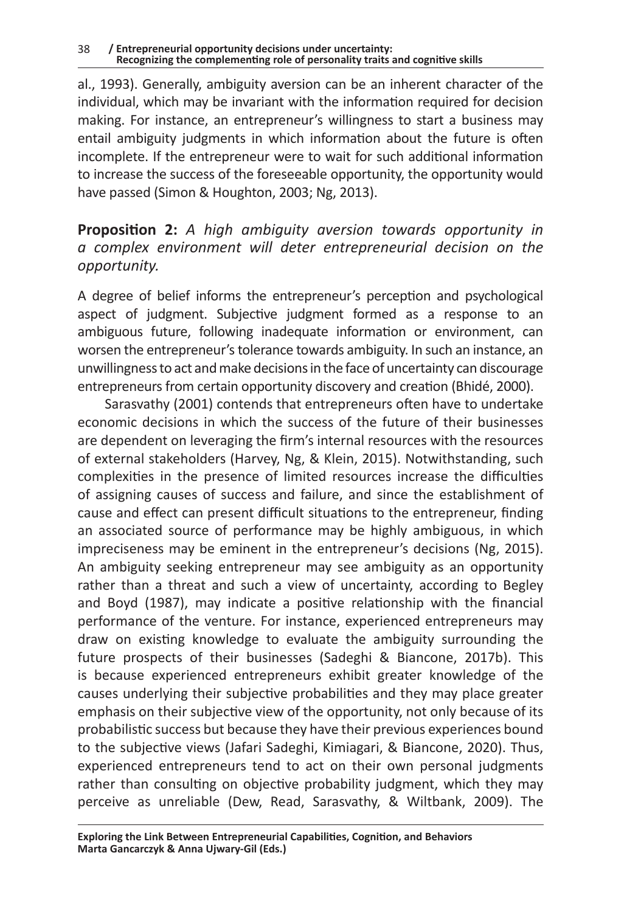al., 1993). Generally, ambiguity aversion can be an inherent character of the individual, which may be invariant with the information required for decision making. For instance, an entrepreneur's willingness to start a business may entail ambiguity judgments in which information about the future is often incomplete. If the entrepreneur were to wait for such additional information to increase the success of the foreseeable opportunity, the opportunity would have passed (Simon & Houghton, 2003; Ng, 2013).

**Proposition 2:** *A high ambiguity aversion towards opportunity in a complex environment will deter entrepreneurial decision on the opportunity.*

A degree of belief informs the entrepreneur's perception and psychological aspect of judgment. Subjective judgment formed as a response to an ambiguous future, following inadequate information or environment, can worsen the entrepreneur's tolerance towards ambiguity. In such an instance, an unwillingness to act and make decisions in the face of uncertainty can discourage entrepreneurs from certain opportunity discovery and creation (Bhidé, 2000).

Sarasvathy (2001) contends that entrepreneurs often have to undertake economic decisions in which the success of the future of their businesses are dependent on leveraging the firm's internal resources with the resources of external stakeholders (Harvey, Ng, & Klein, 2015). Notwithstanding, such complexities in the presence of limited resources increase the difficulties of assigning causes of success and failure, and since the establishment of cause and effect can present difficult situations to the entrepreneur, finding an associated source of performance may be highly ambiguous, in which impreciseness may be eminent in the entrepreneur's decisions (Ng, 2015). An ambiguity seeking entrepreneur may see ambiguity as an opportunity rather than a threat and such a view of uncertainty, according to Begley and Boyd (1987), may indicate a positive relationship with the financial performance of the venture. For instance, experienced entrepreneurs may draw on existing knowledge to evaluate the ambiguity surrounding the future prospects of their businesses (Sadeghi & Biancone, 2017b). This is because experienced entrepreneurs exhibit greater knowledge of the causes underlying their subjective probabilities and they may place greater emphasis on their subjective view of the opportunity, not only because of its probabilistic success but because they have their previous experiences bound to the subjective views (Jafari Sadeghi, Kimiagari, & Biancone, 2020). Thus, experienced entrepreneurs tend to act on their own personal judgments rather than consulting on objective probability judgment, which they may perceive as unreliable (Dew, Read, Sarasvathy, & Wiltbank, 2009). The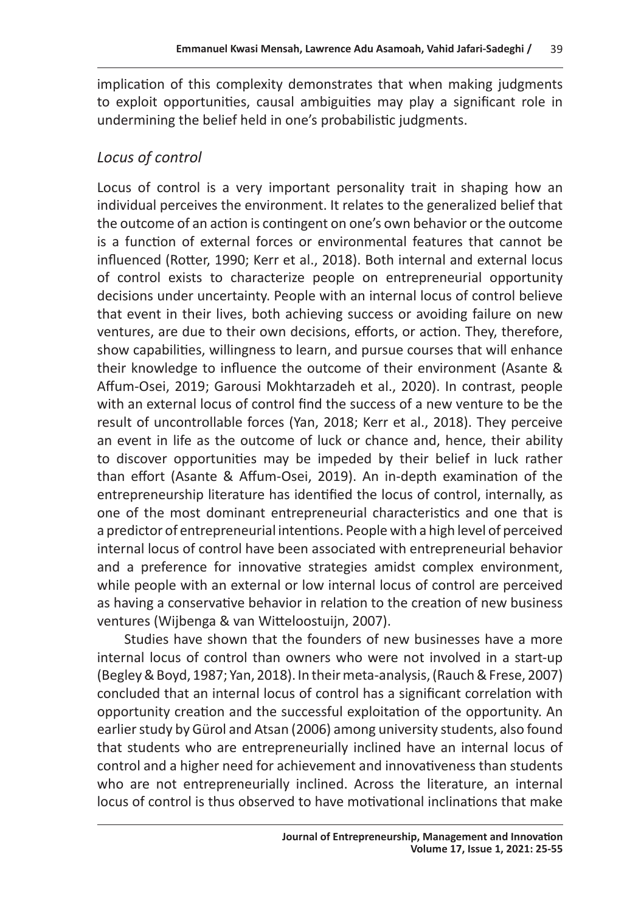implication of this complexity demonstrates that when making judgments to exploit opportunities, causal ambiguities may play a significant role in undermining the belief held in one's probabilistic judgments.

### *Locus of control*

Locus of control is a very important personality trait in shaping how an individual perceives the environment. It relates to the generalized belief that the outcome of an action is contingent on one's own behavior or the outcome is a function of external forces or environmental features that cannot be influenced (Rotter, 1990; Kerr et al., 2018). Both internal and external locus of control exists to characterize people on entrepreneurial opportunity decisions under uncertainty. People with an internal locus of control believe that event in their lives, both achieving success or avoiding failure on new ventures, are due to their own decisions, efforts, or action. They, therefore, show capabilities, willingness to learn, and pursue courses that will enhance their knowledge to influence the outcome of their environment (Asante & Affum-Osei, 2019; Garousi Mokhtarzadeh et al., 2020). In contrast, people with an external locus of control find the success of a new venture to be the result of uncontrollable forces (Yan, 2018; Kerr et al., 2018). They perceive an event in life as the outcome of luck or chance and, hence, their ability to discover opportunities may be impeded by their belief in luck rather than effort (Asante & Affum-Osei, 2019). An in-depth examination of the entrepreneurship literature has identified the locus of control, internally, as one of the most dominant entrepreneurial characteristics and one that is a predictor of entrepreneurial intentions. People with a high level of perceived internal locus of control have been associated with entrepreneurial behavior and a preference for innovative strategies amidst complex environment, while people with an external or low internal locus of control are perceived as having a conservative behavior in relation to the creation of new business ventures (Wijbenga & van Witteloostuijn, 2007).

Studies have shown that the founders of new businesses have a more internal locus of control than owners who were not involved in a start-up (Begley & Boyd, 1987; Yan, 2018). In their meta-analysis, (Rauch & Frese, 2007) concluded that an internal locus of control has a significant correlation with opportunity creation and the successful exploitation of the opportunity. An earlier study by Gürol and Atsan (2006) among university students, also found that students who are entrepreneurially inclined have an internal locus of control and a higher need for achievement and innovativeness than students who are not entrepreneurially inclined. Across the literature, an internal locus of control is thus observed to have motivational inclinations that make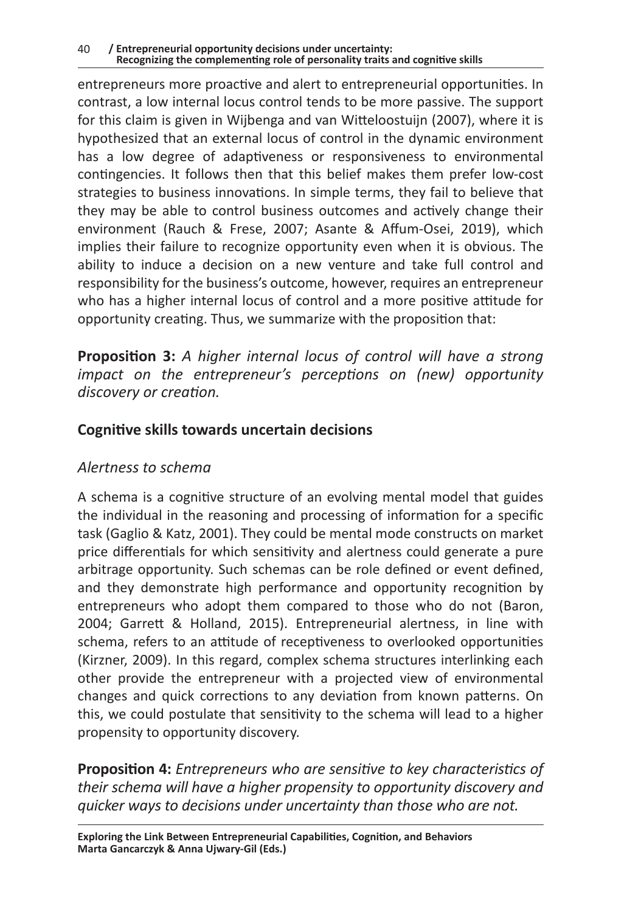entrepreneurs more proactive and alert to entrepreneurial opportunities. In contrast, a low internal locus control tends to be more passive. The support for this claim is given in Wijbenga and van Witteloostuijn (2007), where it is hypothesized that an external locus of control in the dynamic environment has a low degree of adaptiveness or responsiveness to environmental contingencies. It follows then that this belief makes them prefer low-cost strategies to business innovations. In simple terms, they fail to believe that they may be able to control business outcomes and actively change their environment (Rauch & Frese, 2007; Asante & Affum-Osei, 2019), which implies their failure to recognize opportunity even when it is obvious. The ability to induce a decision on a new venture and take full control and responsibility for the business's outcome, however, requires an entrepreneur who has a higher internal locus of control and a more positive attitude for opportunity creating. Thus, we summarize with the proposition that:

**Proposition 3:** *A higher internal locus of control will have a strong impact on the entrepreneur's perceptions on (new) opportunity discovery or creation.* 

#### **Cognitive skills towards uncertain decisions**

#### *Alertness to schema*

A schema is a cognitive structure of an evolving mental model that guides the individual in the reasoning and processing of information for a specific task (Gaglio & Katz, 2001). They could be mental mode constructs on market price differentials for which sensitivity and alertness could generate a pure arbitrage opportunity. Such schemas can be role defined or event defined, and they demonstrate high performance and opportunity recognition by entrepreneurs who adopt them compared to those who do not (Baron, 2004; Garrett & Holland, 2015). Entrepreneurial alertness, in line with schema, refers to an attitude of receptiveness to overlooked opportunities (Kirzner, 2009). In this regard, complex schema structures interlinking each other provide the entrepreneur with a projected view of environmental changes and quick corrections to any deviation from known patterns. On this, we could postulate that sensitivity to the schema will lead to a higher propensity to opportunity discovery.

**Proposition 4:** *Entrepreneurs who are sensitive to key characteristics of their schema will have a higher propensity to opportunity discovery and quicker ways to decisions under uncertainty than those who are not.*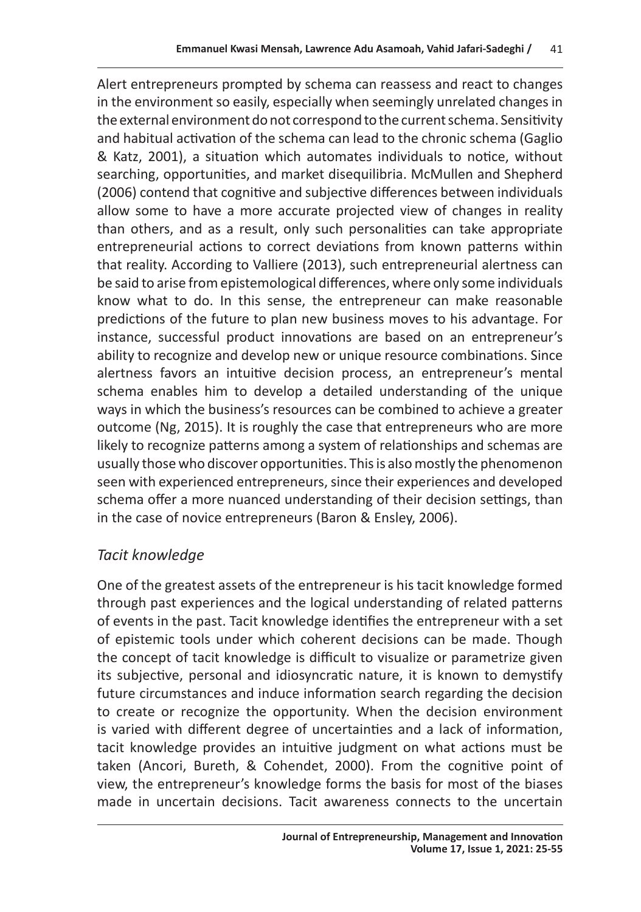Alert entrepreneurs prompted by schema can reassess and react to changes in the environment so easily, especially when seemingly unrelated changes in the external environment do not correspond to the current schema. Sensitivity and habitual activation of the schema can lead to the chronic schema (Gaglio & Katz, 2001), a situation which automates individuals to notice, without searching, opportunities, and market disequilibria. McMullen and Shepherd (2006) contend that cognitive and subjective differences between individuals allow some to have a more accurate projected view of changes in reality than others, and as a result, only such personalities can take appropriate entrepreneurial actions to correct deviations from known patterns within that reality. According to Valliere (2013), such entrepreneurial alertness can be said to arise from epistemological differences, where only some individuals know what to do. In this sense, the entrepreneur can make reasonable predictions of the future to plan new business moves to his advantage. For instance, successful product innovations are based on an entrepreneur's ability to recognize and develop new or unique resource combinations. Since alertness favors an intuitive decision process, an entrepreneur's mental schema enables him to develop a detailed understanding of the unique ways in which the business's resources can be combined to achieve a greater outcome (Ng, 2015). It is roughly the case that entrepreneurs who are more likely to recognize patterns among a system of relationships and schemas are usually those who discover opportunities. This is also mostly the phenomenon seen with experienced entrepreneurs, since their experiences and developed schema offer a more nuanced understanding of their decision settings, than in the case of novice entrepreneurs (Baron & Ensley, 2006).

# *Tacit knowledge*

One of the greatest assets of the entrepreneur is his tacit knowledge formed through past experiences and the logical understanding of related patterns of events in the past. Tacit knowledge identifies the entrepreneur with a set of epistemic tools under which coherent decisions can be made. Though the concept of tacit knowledge is difficult to visualize or parametrize given its subjective, personal and idiosyncratic nature, it is known to demystify future circumstances and induce information search regarding the decision to create or recognize the opportunity. When the decision environment is varied with different degree of uncertainties and a lack of information, tacit knowledge provides an intuitive judgment on what actions must be taken (Ancori, Bureth, & Cohendet, 2000). From the cognitive point of view, the entrepreneur's knowledge forms the basis for most of the biases made in uncertain decisions. Tacit awareness connects to the uncertain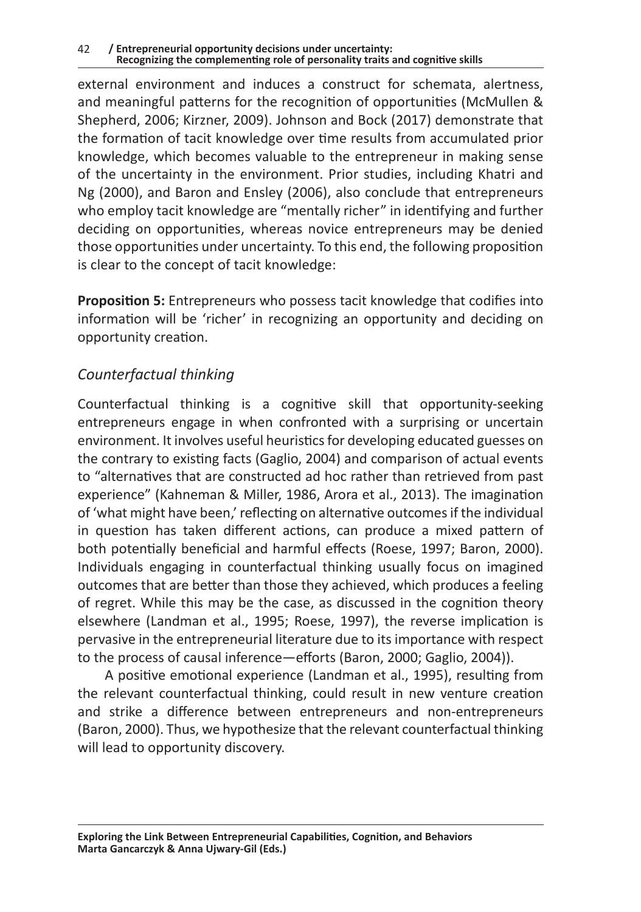external environment and induces a construct for schemata, alertness, and meaningful patterns for the recognition of opportunities (McMullen & Shepherd, 2006; Kirzner, 2009). Johnson and Bock (2017) demonstrate that the formation of tacit knowledge over time results from accumulated prior knowledge, which becomes valuable to the entrepreneur in making sense of the uncertainty in the environment. Prior studies, including Khatri and Ng (2000), and Baron and Ensley (2006), also conclude that entrepreneurs who employ tacit knowledge are "mentally richer" in identifying and further deciding on opportunities, whereas novice entrepreneurs may be denied those opportunities under uncertainty. To this end, the following proposition is clear to the concept of tacit knowledge:

**Proposition 5:** Entrepreneurs who possess tacit knowledge that codifies into information will be 'richer' in recognizing an opportunity and deciding on opportunity creation.

### *Counterfactual thinking*

Counterfactual thinking is a cognitive skill that opportunity-seeking entrepreneurs engage in when confronted with a surprising or uncertain environment. It involves useful heuristics for developing educated guesses on the contrary to existing facts (Gaglio, 2004) and comparison of actual events to "alternatives that are constructed ad hoc rather than retrieved from past experience" (Kahneman & Miller, 1986, Arora et al., 2013). The imagination of 'what might have been,' reflecting on alternative outcomes if the individual in question has taken different actions, can produce a mixed pattern of both potentially beneficial and harmful effects (Roese, 1997; Baron, 2000). Individuals engaging in counterfactual thinking usually focus on imagined outcomes that are better than those they achieved, which produces a feeling of regret. While this may be the case, as discussed in the cognition theory elsewhere (Landman et al., 1995; Roese, 1997), the reverse implication is pervasive in the entrepreneurial literature due to its importance with respect to the process of causal inference—efforts (Baron, 2000; Gaglio, 2004)).

A positive emotional experience (Landman et al., 1995), resulting from the relevant counterfactual thinking, could result in new venture creation and strike a difference between entrepreneurs and non-entrepreneurs (Baron, 2000). Thus, we hypothesize that the relevant counterfactual thinking will lead to opportunity discovery.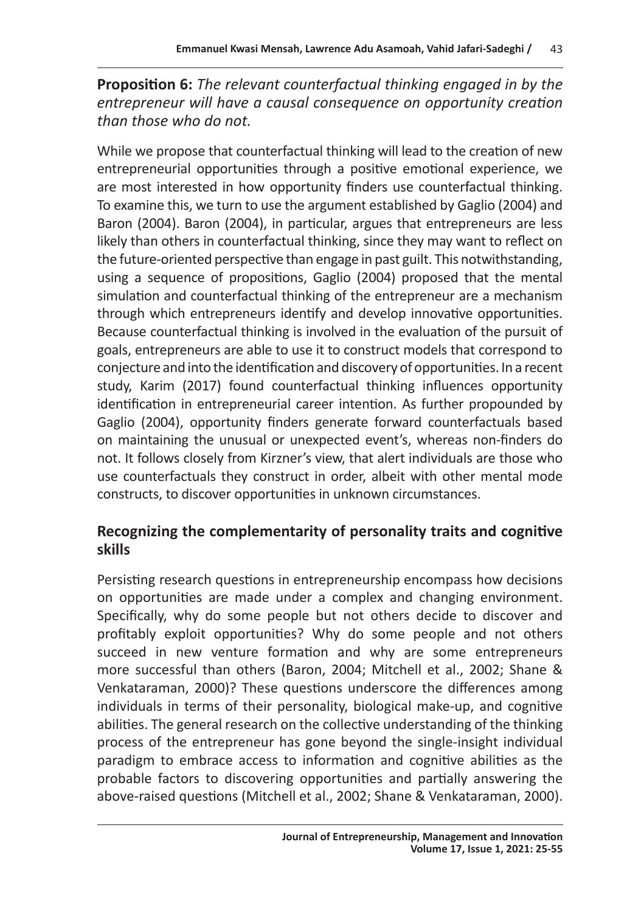**Proposition 6:** *The relevant counterfactual thinking engaged in by the entrepreneur will have a causal consequence on opportunity creation than those who do not.* 

While we propose that counterfactual thinking will lead to the creation of new entrepreneurial opportunities through a positive emotional experience, we are most interested in how opportunity finders use counterfactual thinking. To examine this, we turn to use the argument established by Gaglio (2004) and Baron (2004). Baron (2004), in particular, argues that entrepreneurs are less likely than others in counterfactual thinking, since they may want to reflect on the future-oriented perspective than engage in past guilt. This notwithstanding, using a sequence of propositions, Gaglio (2004) proposed that the mental simulation and counterfactual thinking of the entrepreneur are a mechanism through which entrepreneurs identify and develop innovative opportunities. Because counterfactual thinking is involved in the evaluation of the pursuit of goals, entrepreneurs are able to use it to construct models that correspond to conjecture and into the identification and discovery of opportunities. In a recent study, Karim (2017) found counterfactual thinking influences opportunity identification in entrepreneurial career intention. As further propounded by Gaglio (2004), opportunity finders generate forward counterfactuals based on maintaining the unusual or unexpected event's, whereas non-finders do not. It follows closely from Kirzner's view, that alert individuals are those who use counterfactuals they construct in order, albeit with other mental mode constructs, to discover opportunities in unknown circumstances.

#### **Recognizing the complementarity of personality traits and cognitive skills**

Persisting research questions in entrepreneurship encompass how decisions on opportunities are made under a complex and changing environment. Specifically, why do some people but not others decide to discover and profitably exploit opportunities? Why do some people and not others succeed in new venture formation and why are some entrepreneurs more successful than others (Baron, 2004; Mitchell et al., 2002; Shane & Venkataraman, 2000)? These questions underscore the differences among individuals in terms of their personality, biological make-up, and cognitive abilities. The general research on the collective understanding of the thinking process of the entrepreneur has gone beyond the single-insight individual paradigm to embrace access to information and cognitive abilities as the probable factors to discovering opportunities and partially answering the above-raised questions (Mitchell et al., 2002; Shane & Venkataraman, 2000).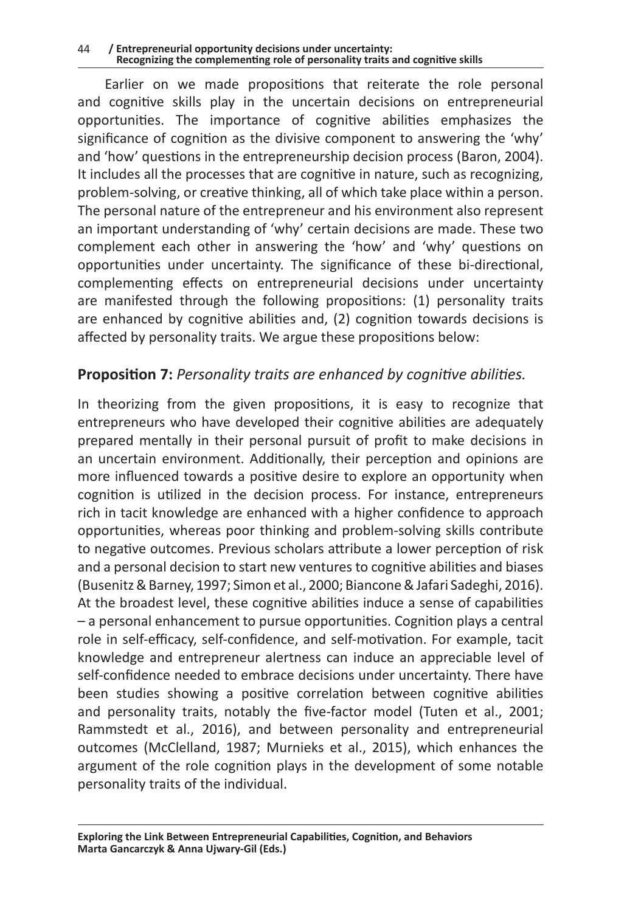#### 44 **/ Entrepreneurial opportunity decisions under uncertainty: Recognizing the complementing role of personality traits and cognitive skills**

Earlier on we made propositions that reiterate the role personal and cognitive skills play in the uncertain decisions on entrepreneurial opportunities. The importance of cognitive abilities emphasizes the significance of cognition as the divisive component to answering the 'why' and 'how' questions in the entrepreneurship decision process (Baron, 2004). It includes all the processes that are cognitive in nature, such as recognizing, problem-solving, or creative thinking, all of which take place within a person. The personal nature of the entrepreneur and his environment also represent an important understanding of 'why' certain decisions are made. These two complement each other in answering the 'how' and 'why' questions on opportunities under uncertainty. The significance of these bi-directional, complementing effects on entrepreneurial decisions under uncertainty are manifested through the following propositions: (1) personality traits are enhanced by cognitive abilities and, (2) cognition towards decisions is affected by personality traits. We argue these propositions below:

#### **Proposition 7:** *Personality traits are enhanced by cognitive abilities.*

In theorizing from the given propositions, it is easy to recognize that entrepreneurs who have developed their cognitive abilities are adequately prepared mentally in their personal pursuit of profit to make decisions in an uncertain environment. Additionally, their perception and opinions are more influenced towards a positive desire to explore an opportunity when cognition is utilized in the decision process. For instance, entrepreneurs rich in tacit knowledge are enhanced with a higher confidence to approach opportunities, whereas poor thinking and problem-solving skills contribute to negative outcomes. Previous scholars attribute a lower perception of risk and a personal decision to start new ventures to cognitive abilities and biases (Busenitz & Barney, 1997; Simon et al., 2000; Biancone & Jafari Sadeghi, 2016). At the broadest level, these cognitive abilities induce a sense of capabilities – a personal enhancement to pursue opportunities. Cognition plays a central role in self-efficacy, self-confidence, and self-motivation. For example, tacit knowledge and entrepreneur alertness can induce an appreciable level of self-confidence needed to embrace decisions under uncertainty. There have been studies showing a positive correlation between cognitive abilities and personality traits, notably the five-factor model (Tuten et al., 2001; Rammstedt et al., 2016), and between personality and entrepreneurial outcomes (McClelland, 1987; Murnieks et al., 2015), which enhances the argument of the role cognition plays in the development of some notable personality traits of the individual.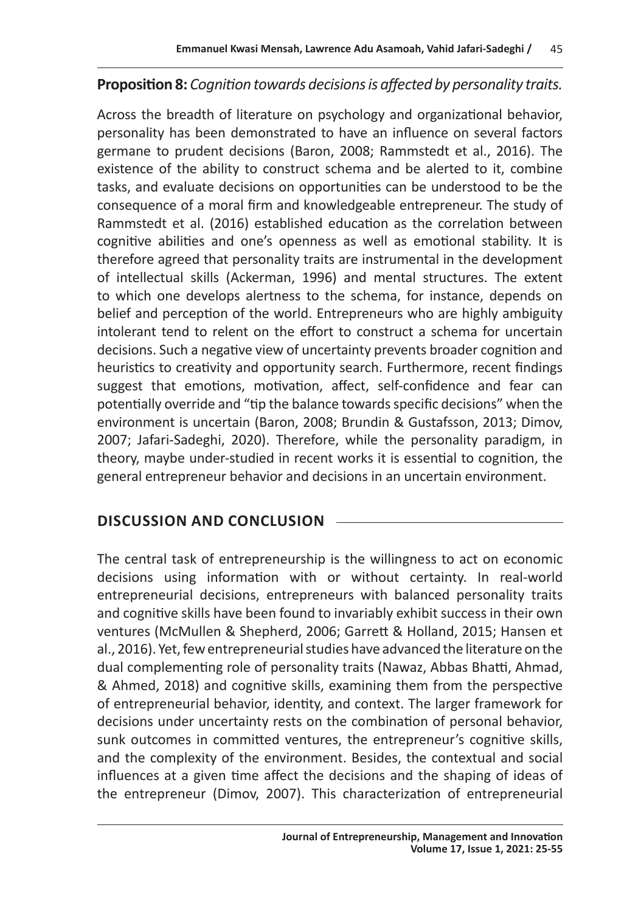#### **Proposition 8:** *Cognition towards decisions is affected by personality traits.*

Across the breadth of literature on psychology and organizational behavior, personality has been demonstrated to have an influence on several factors germane to prudent decisions (Baron, 2008; Rammstedt et al., 2016). The existence of the ability to construct schema and be alerted to it, combine tasks, and evaluate decisions on opportunities can be understood to be the consequence of a moral firm and knowledgeable entrepreneur. The study of Rammstedt et al. (2016) established education as the correlation between cognitive abilities and one's openness as well as emotional stability. It is therefore agreed that personality traits are instrumental in the development of intellectual skills (Ackerman, 1996) and mental structures. The extent to which one develops alertness to the schema, for instance, depends on belief and perception of the world. Entrepreneurs who are highly ambiguity intolerant tend to relent on the effort to construct a schema for uncertain decisions. Such a negative view of uncertainty prevents broader cognition and heuristics to creativity and opportunity search. Furthermore, recent findings suggest that emotions, motivation, affect, self-confidence and fear can potentially override and "tip the balance towards specific decisions" when the environment is uncertain (Baron, 2008; Brundin & Gustafsson, 2013; Dimov, 2007; Jafari-Sadeghi, 2020). Therefore, while the personality paradigm, in theory, maybe under-studied in recent works it is essential to cognition, the general entrepreneur behavior and decisions in an uncertain environment.

#### **DISCUSSION AND CONCLUSION**

The central task of entrepreneurship is the willingness to act on economic decisions using information with or without certainty. In real-world entrepreneurial decisions, entrepreneurs with balanced personality traits and cognitive skills have been found to invariably exhibit success in their own ventures (McMullen & Shepherd, 2006; Garrett & Holland, 2015; Hansen et al., 2016). Yet, few entrepreneurial studies have advanced the literature on the dual complementing role of personality traits (Nawaz, Abbas Bhatti, Ahmad, & Ahmed, 2018) and cognitive skills, examining them from the perspective of entrepreneurial behavior, identity, and context. The larger framework for decisions under uncertainty rests on the combination of personal behavior, sunk outcomes in committed ventures, the entrepreneur's cognitive skills, and the complexity of the environment. Besides, the contextual and social influences at a given time affect the decisions and the shaping of ideas of the entrepreneur (Dimov, 2007). This characterization of entrepreneurial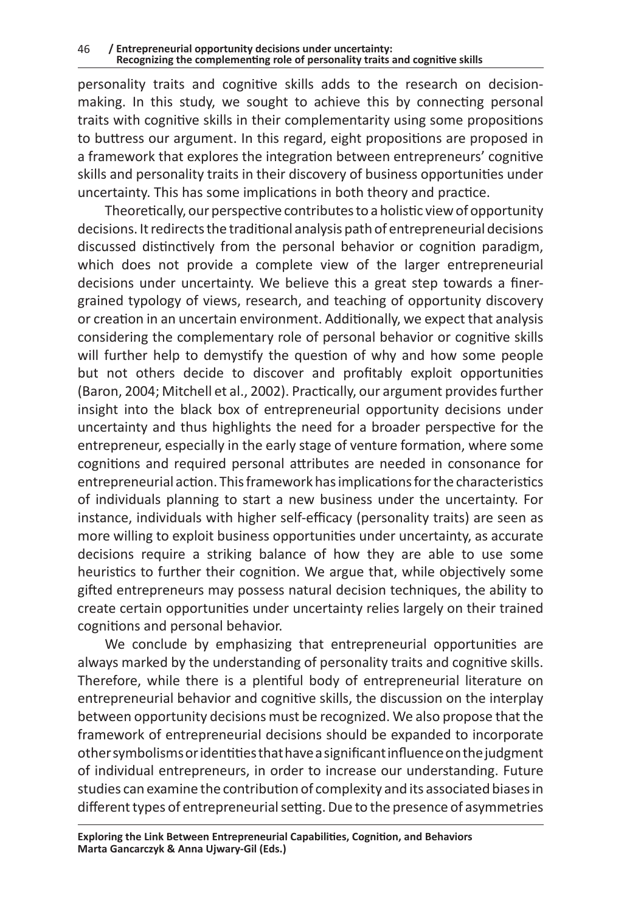personality traits and cognitive skills adds to the research on decisionmaking. In this study, we sought to achieve this by connecting personal traits with cognitive skills in their complementarity using some propositions to buttress our argument. In this regard, eight propositions are proposed in a framework that explores the integration between entrepreneurs' cognitive skills and personality traits in their discovery of business opportunities under uncertainty. This has some implications in both theory and practice.

Theoretically, our perspective contributes to a holistic view of opportunity decisions. It redirects the traditional analysis path of entrepreneurial decisions discussed distinctively from the personal behavior or cognition paradigm, which does not provide a complete view of the larger entrepreneurial decisions under uncertainty. We believe this a great step towards a finergrained typology of views, research, and teaching of opportunity discovery or creation in an uncertain environment. Additionally, we expect that analysis considering the complementary role of personal behavior or cognitive skills will further help to demystify the question of why and how some people but not others decide to discover and profitably exploit opportunities (Baron, 2004; Mitchell et al., 2002). Practically, our argument provides further insight into the black box of entrepreneurial opportunity decisions under uncertainty and thus highlights the need for a broader perspective for the entrepreneur, especially in the early stage of venture formation, where some cognitions and required personal attributes are needed in consonance for entrepreneurial action. This framework has implications for the characteristics of individuals planning to start a new business under the uncertainty. For instance, individuals with higher self-efficacy (personality traits) are seen as more willing to exploit business opportunities under uncertainty, as accurate decisions require a striking balance of how they are able to use some heuristics to further their cognition. We argue that, while objectively some gifted entrepreneurs may possess natural decision techniques, the ability to create certain opportunities under uncertainty relies largely on their trained cognitions and personal behavior.

We conclude by emphasizing that entrepreneurial opportunities are always marked by the understanding of personality traits and cognitive skills. Therefore, while there is a plentiful body of entrepreneurial literature on entrepreneurial behavior and cognitive skills, the discussion on the interplay between opportunity decisions must be recognized. We also propose that the framework of entrepreneurial decisions should be expanded to incorporate other symbolisms or identities that have asignificant influence on the judgment of individual entrepreneurs, in order to increase our understanding. Future studies can examine the contribution of complexity and its associated biases in different types of entrepreneurial setting. Due to the presence of asymmetries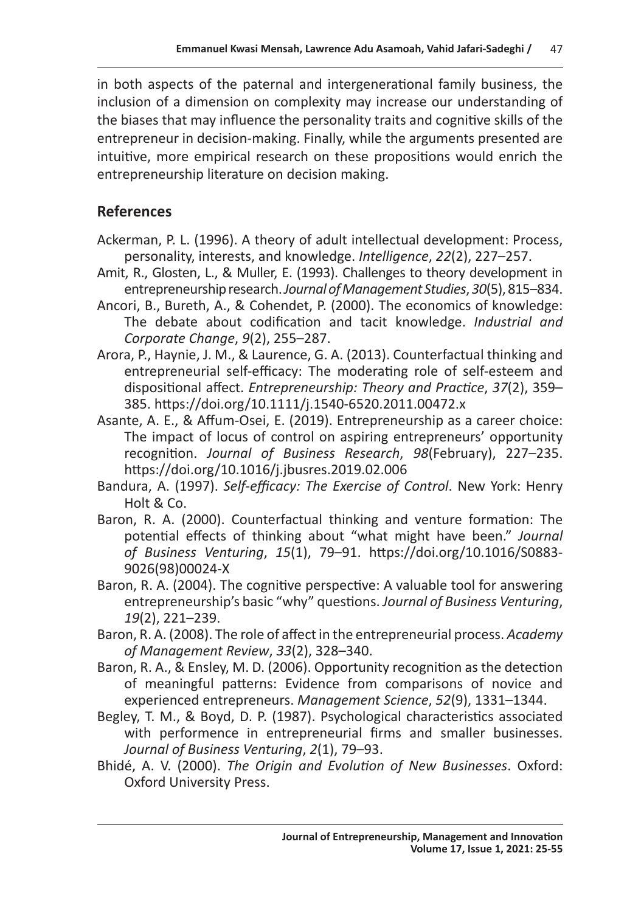in both aspects of the paternal and intergenerational family business, the inclusion of a dimension on complexity may increase our understanding of the biases that may influence the personality traits and cognitive skills of the entrepreneur in decision-making. Finally, while the arguments presented are intuitive, more empirical research on these propositions would enrich the entrepreneurship literature on decision making.

#### **References**

- Ackerman, P. L. (1996). A theory of adult intellectual development: Process, personality, interests, and knowledge. *Intelligence*, *22*(2), 227–257.
- Amit, R., Glosten, L., & Muller, E. (1993). Challenges to theory development in entrepreneurship research. *Journal of Management Studies*, *30*(5), 815–834.
- Ancori, B., Bureth, A., & Cohendet, P. (2000). The economics of knowledge: The debate about codification and tacit knowledge. *Industrial and Corporate Change*, *9*(2), 255–287.
- Arora, P., Haynie, J. M., & Laurence, G. A. (2013). Counterfactual thinking and entrepreneurial self-efficacy: The moderating role of self-esteem and dispositional affect. *Entrepreneurship: Theory and Practice*, *37*(2), 359– 385. https://doi.org/10.1111/j.1540-6520.2011.00472.x
- Asante, A. E., & Affum-Osei, E. (2019). Entrepreneurship as a career choice: The impact of locus of control on aspiring entrepreneurs' opportunity recognition. *Journal of Business Research*, *98*(February), 227–235. https://doi.org/10.1016/j.jbusres.2019.02.006
- Bandura, A. (1997). *Self-efficacy: The Exercise of Control*. New York: Henry Holt & Co.
- Baron, R. A. (2000). Counterfactual thinking and venture formation: The potential effects of thinking about "what might have been." *Journal of Business Venturing*, *15*(1), 79–91. https://doi.org/10.1016/S0883- 9026(98)00024-X
- Baron, R. A. (2004). The cognitive perspective: A valuable tool for answering entrepreneurship's basic "why" questions. *Journal of Business Venturing*, *19*(2), 221–239.
- Baron, R. A. (2008). The role of affect in the entrepreneurial process. *Academy of Management Review*, *33*(2), 328–340.
- Baron, R. A., & Ensley, M. D. (2006). Opportunity recognition as the detection of meaningful patterns: Evidence from comparisons of novice and experienced entrepreneurs. *Management Science*, *52*(9), 1331–1344.
- Begley, T. M., & Boyd, D. P. (1987). Psychological characteristics associated with performence in entrepreneurial firms and smaller businesses. *Journal of Business Venturing*, *2*(1), 79–93.
- Bhidé, A. V. (2000). *The Origin and Evolution of New Businesses*. Oxford: Oxford University Press.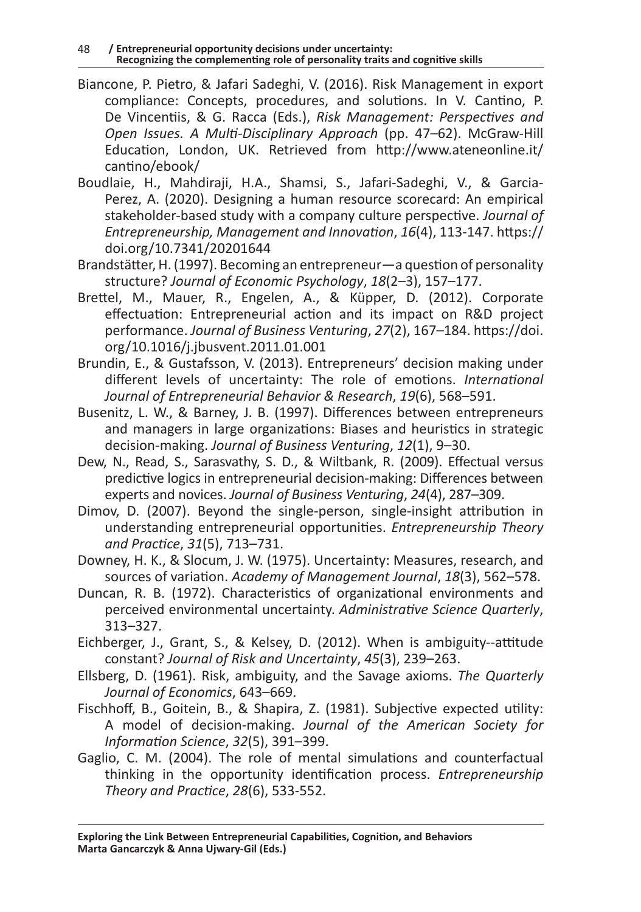- Biancone, P. Pietro, & Jafari Sadeghi, V. (2016). Risk Management in export compliance: Concepts, procedures, and solutions. In V. Cantino, P. De Vincentiis, & G. Racca (Eds.), *Risk Management: Perspectives and Open Issues. A Multi-Disciplinary Approach* (pp. 47–62). McGraw-Hill Education, London, UK. Retrieved from http://www.ateneonline.it/ cantino/ebook/
- Boudlaie, H., Mahdiraji, H.A., Shamsi, S., Jafari-Sadeghi, V., & Garcia-Perez, A. (2020). Designing a human resource scorecard: An empirical stakeholder-based study with a company culture perspective. *Journal of Entrepreneurship, Management and Innovation*, *16*(4), 113-147. https:// doi.org/10.7341/20201644
- Brandstätter, H. (1997). Becoming an entrepreneur—a question of personality structure? *Journal of Economic Psychology*, *18*(2–3), 157–177.
- Brettel, M., Mauer, R., Engelen, A., & Küpper, D. (2012). Corporate effectuation: Entrepreneurial action and its impact on R&D project performance. *Journal of Business Venturing*, *27*(2), 167–184. https://doi. org/10.1016/j.jbusvent.2011.01.001
- Brundin, E., & Gustafsson, V. (2013). Entrepreneurs' decision making under different levels of uncertainty: The role of emotions. *International Journal of Entrepreneurial Behavior & Research*, *19*(6), 568–591.
- Busenitz, L. W., & Barney, J. B. (1997). Differences between entrepreneurs and managers in large organizations: Biases and heuristics in strategic decision-making. *Journal of Business Venturing*, *12*(1), 9–30.
- Dew, N., Read, S., Sarasvathy, S. D., & Wiltbank, R. (2009). Effectual versus predictive logics in entrepreneurial decision-making: Differences between experts and novices. *Journal of Business Venturing*, *24*(4), 287–309.
- Dimov, D. (2007). Beyond the single-person, single-insight attribution in understanding entrepreneurial opportunities. *Entrepreneurship Theory and Practice*, *31*(5), 713–731.
- Downey, H. K., & Slocum, J. W. (1975). Uncertainty: Measures, research, and sources of variation. *Academy of Management Journal*, *18*(3), 562–578.
- Duncan, R. B. (1972). Characteristics of organizational environments and perceived environmental uncertainty. *Administrative Science Quarterly*, 313–327.
- Eichberger, J., Grant, S., & Kelsey, D. (2012). When is ambiguity--attitude constant? *Journal of Risk and Uncertainty*, *45*(3), 239–263.
- Ellsberg, D. (1961). Risk, ambiguity, and the Savage axioms. *The Quarterly Journal of Economics*, 643–669.
- Fischhoff, B., Goitein, B., & Shapira, Z. (1981). Subjective expected utility: A model of decision-making. *Journal of the American Society for Information Science*, *32*(5), 391–399.
- Gaglio, C. M. (2004). The role of mental simulations and counterfactual thinking in the opportunity identification process. *Entrepreneurship Theory and Practice*, *28*(6), 533-552.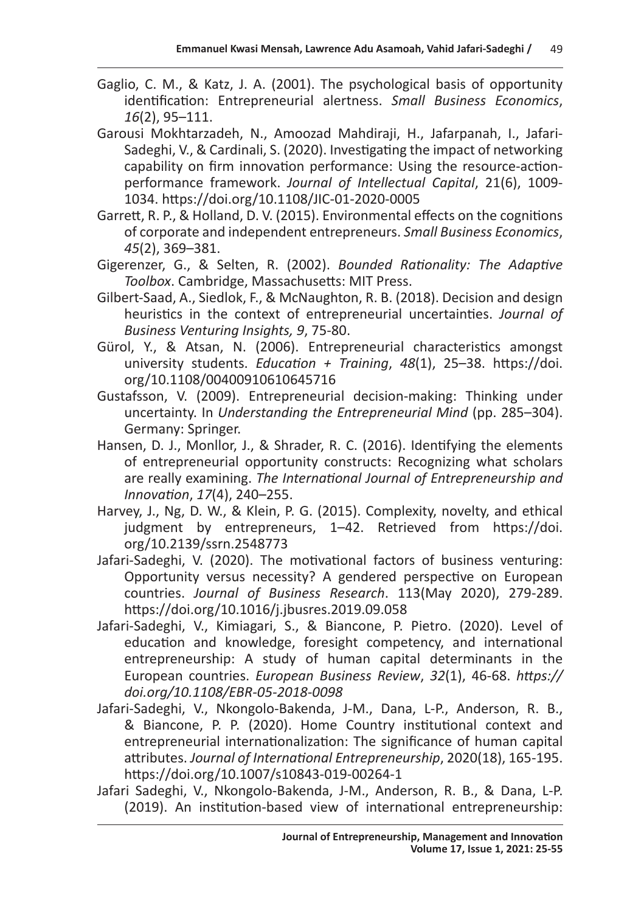- Gaglio, C. M., & Katz, J. A. (2001). The psychological basis of opportunity identification: Entrepreneurial alertness. *Small Business Economics*, *16*(2), 95–111.
- Garousi Mokhtarzadeh, N., Amoozad Mahdiraji, H., Jafarpanah, I., Jafari-Sadeghi, V., & Cardinali, S. (2020). Investigating the impact of networking capability on firm innovation performance: Using the resource-actionperformance framework. *Journal of Intellectual Capital*, 21(6), 1009- 1034. https://doi.org/10.1108/JIC-01-2020-0005
- Garrett, R. P., & Holland, D. V. (2015). Environmental effects on the cognitions of corporate and independent entrepreneurs. *Small Business Economics*, *45*(2), 369–381.
- Gigerenzer, G., & Selten, R. (2002). *Bounded Rationality: The Adaptive Toolbox*. Cambridge, Massachusetts: MIT Press.
- Gilbert-Saad, A., Siedlok, F., & McNaughton, R. B. (2018). Decision and design heuristics in the context of entrepreneurial uncertainties. *Journal of Business Venturing Insights, 9*, 75-80.
- Gürol, Y., & Atsan, N. (2006). Entrepreneurial characteristics amongst university students. *Education + Training*, *48*(1), 25–38. https://doi. org/10.1108/00400910610645716
- Gustafsson, V. (2009). Entrepreneurial decision-making: Thinking under uncertainty. In *Understanding the Entrepreneurial Mind* (pp. 285–304). Germany: Springer.
- Hansen, D. J., Monllor, J., & Shrader, R. C. (2016). Identifying the elements of entrepreneurial opportunity constructs: Recognizing what scholars are really examining. *The International Journal of Entrepreneurship and Innovation*, *17*(4), 240–255.
- Harvey, J., Ng, D. W., & Klein, P. G. (2015). Complexity, novelty, and ethical judgment by entrepreneurs, 1–42. Retrieved from https://doi. org/10.2139/ssrn.2548773
- Jafari-Sadeghi, V. (2020). The motivational factors of business venturing: Opportunity versus necessity? A gendered perspective on European countries. *Journal of Business Research*. 113(May 2020), 279-289. https://doi.org/10.1016/j.jbusres.2019.09.058
- Jafari-Sadeghi, V., Kimiagari, S., & Biancone, P. Pietro. (2020). Level of education and knowledge, foresight competency, and international entrepreneurship: A study of human capital determinants in the European countries. *European Business Review*, *32*(1), 46-68. *https:// doi.org/10.1108/EBR-05-2018-0098*
- Jafari-Sadeghi, V., Nkongolo-Bakenda, J-M., Dana, L-P., Anderson, R. B., & Biancone, P. P. (2020). Home Country institutional context and entrepreneurial internationalization: The significance of human capital attributes. *Journal of International Entrepreneurship*, 2020(18), 165-195. https://doi.org/10.1007/s10843-019-00264-1
- Jafari Sadeghi, V., Nkongolo-Bakenda, J-M., Anderson, R. B., & Dana, L-P. (2019). An institution-based view of international entrepreneurship: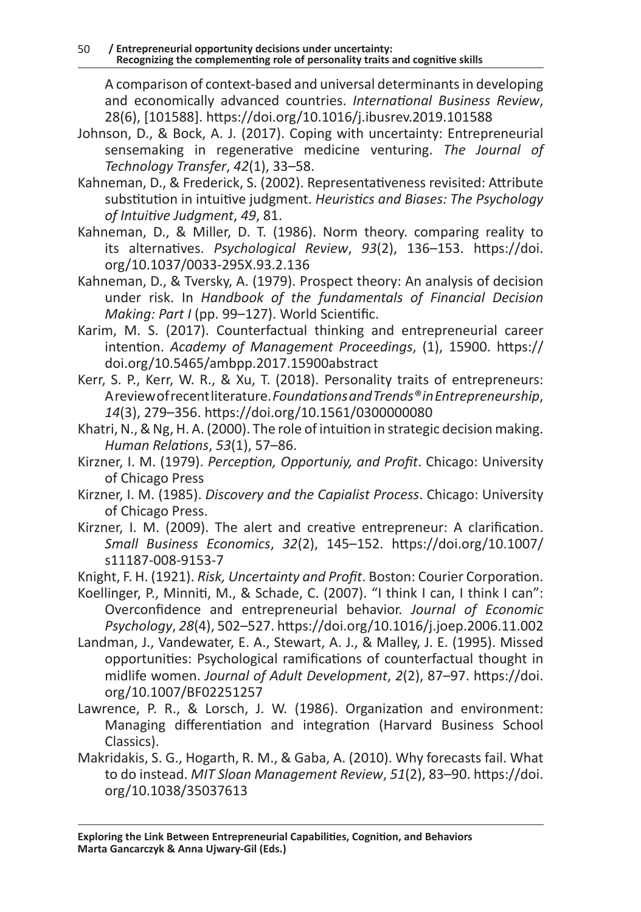A comparison of context-based and universal determinants in developing and economically advanced countries. *International Business Review*, 28(6), [101588]. https://doi.org/10.1016/j.ibusrev.2019.101588

- Johnson, D., & Bock, A. J. (2017). Coping with uncertainty: Entrepreneurial sensemaking in regenerative medicine venturing. *The Journal of Technology Transfer*, *42*(1), 33–58.
- Kahneman, D., & Frederick, S. (2002). Representativeness revisited: Attribute substitution in intuitive judgment. *Heuristics and Biases: The Psychology of Intuitive Judgment*, *49*, 81.
- Kahneman, D., & Miller, D. T. (1986). Norm theory. comparing reality to its alternatives. *Psychological Review*, *93*(2), 136–153. https://doi. org/10.1037/0033-295X.93.2.136
- Kahneman, D., & Tversky, A. (1979). Prospect theory: An analysis of decision under risk. In *Handbook of the fundamentals of Financial Decision Making: Part I* (pp. 99–127). World Scientific.
- Karim, M. S. (2017). Counterfactual thinking and entrepreneurial career intention. *Academy of Management Proceedings*, (1), 15900. https:// doi.org/10.5465/ambpp.2017.15900abstract
- Kerr, S. P., Kerr, W. R., & Xu, T. (2018). Personality traits of entrepreneurs: Areview of recent literature. *Foundations and Trends® in Entrepreneurship*, *14*(3), 279–356. https://doi.org/10.1561/0300000080
- Khatri, N., & Ng, H. A. (2000). The role of intuition in strategic decision making. *Human Relations*, *53*(1), 57–86.
- Kirzner, I. M. (1979). *Perception, Opportuniy, and Profit*. Chicago: University of Chicago Press
- Kirzner, I. M. (1985). *Discovery and the Capialist Process*. Chicago: University of Chicago Press.
- Kirzner, I. M. (2009). The alert and creative entrepreneur: A clarification. *Small Business Economics*, *32*(2), 145–152. https://doi.org/10.1007/ s11187-008-9153-7
- Knight, F. H. (1921). *Risk, Uncertainty and Profit*. Boston: Courier Corporation.
- Koellinger, P., Minniti, M., & Schade, C. (2007). "I think I can, I think I can": Overconfidence and entrepreneurial behavior. *Journal of Economic Psychology*, *28*(4), 502–527. https://doi.org/10.1016/j.joep.2006.11.002
- Landman, J., Vandewater, E. A., Stewart, A. J., & Malley, J. E. (1995). Missed opportunities: Psychological ramifications of counterfactual thought in midlife women. *Journal of Adult Development*, *2*(2), 87–97. https://doi. org/10.1007/BF02251257
- Lawrence, P. R., & Lorsch, J. W. (1986). Organization and environment: Managing differentiation and integration (Harvard Business School Classics).
- Makridakis, S. G., Hogarth, R. M., & Gaba, A. (2010). Why forecasts fail. What to do instead. *MIT Sloan Management Review*, *51*(2), 83–90. https://doi. org/10.1038/35037613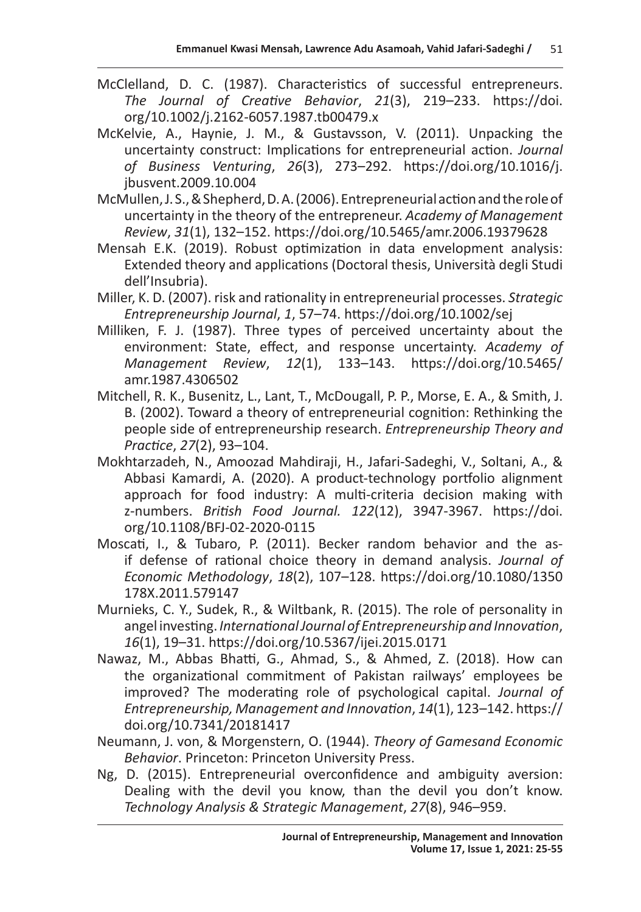- McClelland, D. C. (1987). Characteristics of successful entrepreneurs. *The Journal of Creative Behavior*, *21*(3), 219–233. https://doi. org/10.1002/j.2162-6057.1987.tb00479.x
- McKelvie, A., Haynie, J. M., & Gustavsson, V. (2011). Unpacking the uncertainty construct: Implications for entrepreneurial action. *Journal of Business Venturing*, *26*(3), 273–292. https://doi.org/10.1016/j. jbusvent.2009.10.004
- McMullen, J. S., & Shepherd, D. A. (2006). Entrepreneurial action and the role of uncertainty in the theory of the entrepreneur. *Academy of Management Review*, *31*(1), 132–152. https://doi.org/10.5465/amr.2006.19379628
- Mensah E.K. (2019). Robust optimization in data envelopment analysis: Extended theory and applications (Doctoral thesis, Università degli Studi dell'Insubria).
- Miller, K. D. (2007). risk and rationality in entrepreneurial processes. *Strategic Entrepreneurship Journal*, *1*, 57–74. https://doi.org/10.1002/sej
- Milliken, F. J. (1987). Three types of perceived uncertainty about the environment: State, effect, and response uncertainty. *Academy of Management Review*, *12*(1), 133–143. https://doi.org/10.5465/ amr.1987.4306502
- Mitchell, R. K., Busenitz, L., Lant, T., McDougall, P. P., Morse, E. A., & Smith, J. B. (2002). Toward a theory of entrepreneurial cognition: Rethinking the people side of entrepreneurship research. *Entrepreneurship Theory and Practice*, *27*(2), 93–104.
- Mokhtarzadeh, N., Amoozad Mahdiraji, H., Jafari-Sadeghi, V., Soltani, A., & Abbasi Kamardi, A. (2020). A product-technology portfolio alignment approach for food industry: A multi-criteria decision making with z-numbers. *British Food Journal. 122*(12), 3947-3967. https://doi. org/10.1108/BFJ-02-2020-0115
- Moscati, I., & Tubaro, P. (2011). Becker random behavior and the asif defense of rational choice theory in demand analysis. *Journal of Economic Methodology*, *18*(2), 107–128. https://doi.org/10.1080/1350 178X.2011.579147
- Murnieks, C. Y., Sudek, R., & Wiltbank, R. (2015). The role of personality in angel investing. *International Journal of Entrepreneurship and Innovation*, *16*(1), 19–31. https://doi.org/10.5367/ijei.2015.0171
- Nawaz, M., Abbas Bhatti, G., Ahmad, S., & Ahmed, Z. (2018). How can the organizational commitment of Pakistan railways' employees be improved? The moderating role of psychological capital. *Journal of Entrepreneurship, Management and Innovation*, *14*(1), 123–142. https:// doi.org/10.7341/20181417
- Neumann, J. von, & Morgenstern, O. (1944). *Theory of Gamesand Economic Behavior*. Princeton: Princeton University Press.
- Ng, D. (2015). Entrepreneurial overconfidence and ambiguity aversion: Dealing with the devil you know, than the devil you don't know. *Technology Analysis & Strategic Management*, *27*(8), 946–959.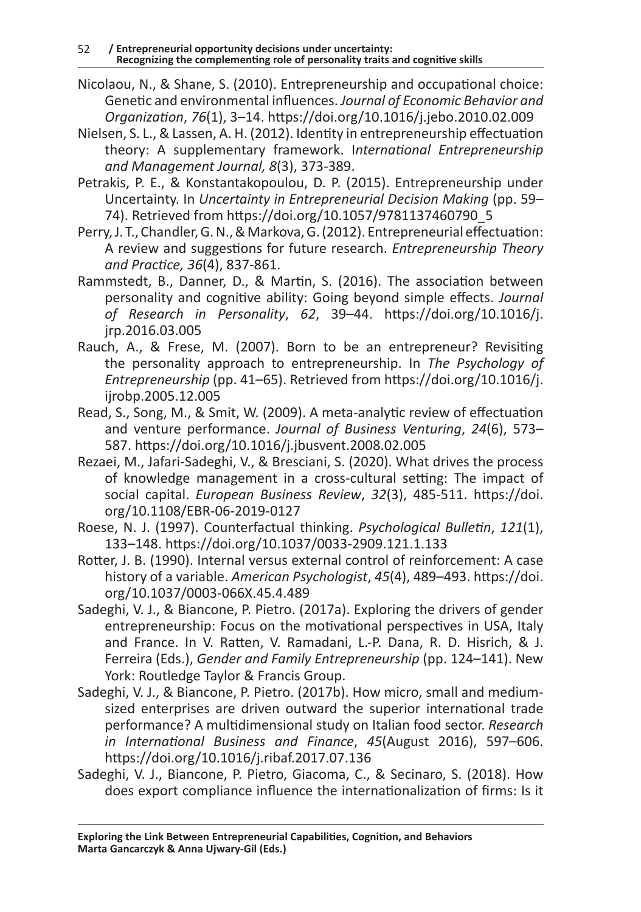- Nicolaou, N., & Shane, S. (2010). Entrepreneurship and occupational choice: Genetic and environmental influences. *Journal of Economic Behavior and Organization*, *76*(1), 3–14. https://doi.org/10.1016/j.jebo.2010.02.009
- Nielsen, S. L., & Lassen, A. H. (2012). Identity in entrepreneurship effectuation theory: A supplementary framework. I*nternational Entrepreneurship and Management Journal, 8*(3), 373-389.
- Petrakis, P. E., & Konstantakopoulou, D. P. (2015). Entrepreneurship under Uncertainty. In *Uncertainty in Entrepreneurial Decision Making* (pp. 59– 74). Retrieved from https://doi.org/10.1057/9781137460790\_5
- Perry, J. T., Chandler, G. N., & Markova, G. (2012). Entrepreneurial effectuation: A review and suggestions for future research. *Entrepreneurship Theory and Practice, 36*(4), 837-861.
- Rammstedt, B., Danner, D., & Martin, S. (2016). The association between personality and cognitive ability: Going beyond simple effects. *Journal of Research in Personality*, *62*, 39–44. https://doi.org/10.1016/j. jrp.2016.03.005
- Rauch, A., & Frese, M. (2007). Born to be an entrepreneur? Revisiting the personality approach to entrepreneurship. In *The Psychology of Entrepreneurship* (pp. 41–65). Retrieved from https://doi.org/10.1016/j. ijrobp.2005.12.005
- Read, S., Song, M., & Smit, W. (2009). A meta-analytic review of effectuation and venture performance. *Journal of Business Venturing*, *24*(6), 573– 587. https://doi.org/10.1016/j.jbusvent.2008.02.005
- Rezaei, M., Jafari-Sadeghi, V., & Bresciani, S. (2020). What drives the process of knowledge management in a cross-cultural setting: The impact of social capital. *European Business Review*, *32*(3), 485-511. https://doi. org/10.1108/EBR-06-2019-0127
- Roese, N. J. (1997). Counterfactual thinking. *Psychological Bulletin*, *121*(1), 133–148. https://doi.org/10.1037/0033-2909.121.1.133
- Rotter, J. B. (1990). Internal versus external control of reinforcement: A case history of a variable. *American Psychologist*, *45*(4), 489–493. https://doi. org/10.1037/0003-066X.45.4.489
- Sadeghi, V. J., & Biancone, P. Pietro. (2017a). Exploring the drivers of gender entrepreneurship: Focus on the motivational perspectives in USA, Italy and France. In V. Ratten, V. Ramadani, L.-P. Dana, R. D. Hisrich, & J. Ferreira (Eds.), *Gender and Family Entrepreneurship* (pp. 124–141). New York: Routledge Taylor & Francis Group.
- Sadeghi, V. J., & Biancone, P. Pietro. (2017b). How micro, small and mediumsized enterprises are driven outward the superior international trade performance? A multidimensional study on Italian food sector. *Research in International Business and Finance*, *45*(August 2016), 597–606. https://doi.org/10.1016/j.ribaf.2017.07.136
- Sadeghi, V. J., Biancone, P. Pietro, Giacoma, C., & Secinaro, S. (2018). How does export compliance influence the internationalization of firms: Is it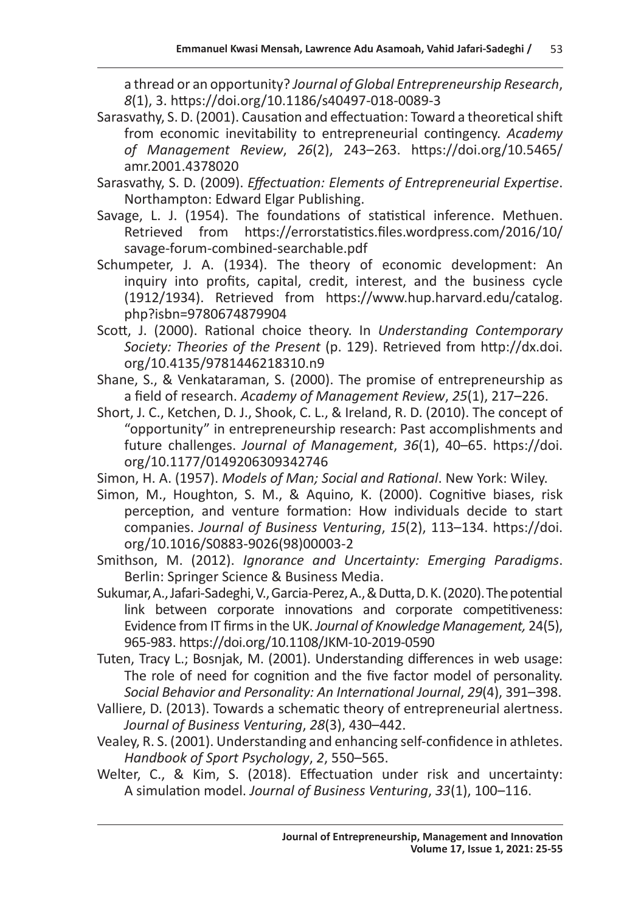a thread or an opportunity? *Journal of Global Entrepreneurship Research*, *8*(1), 3. https://doi.org/10.1186/s40497-018-0089-3

- Sarasvathy, S. D. (2001). Causation and effectuation: Toward a theoretical shift from economic inevitability to entrepreneurial contingency. *Academy of Management Review*, *26*(2), 243–263. https://doi.org/10.5465/ amr.2001.4378020
- Sarasvathy, S. D. (2009). *Effectuation: Elements of Entrepreneurial Expertise*. Northampton: Edward Elgar Publishing.
- Savage, L. J. (1954). The foundations of statistical inference. Methuen. Retrieved from https://errorstatistics.files.wordpress.com/2016/10/ savage-forum-combined-searchable.pdf
- Schumpeter, J. A. (1934). The theory of economic development: An inquiry into profits, capital, credit, interest, and the business cycle (1912/1934). Retrieved from https://www.hup.harvard.edu/catalog. php?isbn=9780674879904
- Scott, J. (2000). Rational choice theory. In *Understanding Contemporary Society: Theories of the Present* (p. 129). Retrieved from http://dx.doi. org/10.4135/9781446218310.n9
- Shane, S., & Venkataraman, S. (2000). The promise of entrepreneurship as a field of research. *Academy of Management Review*, *25*(1), 217–226.
- Short, J. C., Ketchen, D. J., Shook, C. L., & Ireland, R. D. (2010). The concept of "opportunity" in entrepreneurship research: Past accomplishments and future challenges. *Journal of Management*, *36*(1), 40–65. https://doi. org/10.1177/0149206309342746
- Simon, H. A. (1957). *Models of Man; Social and Rational*. New York: Wiley.
- Simon, M., Houghton, S. M., & Aquino, K. (2000). Cognitive biases, risk perception, and venture formation: How individuals decide to start companies. *Journal of Business Venturing*, *15*(2), 113–134. https://doi. org/10.1016/S0883-9026(98)00003-2
- Smithson, M. (2012). *Ignorance and Uncertainty: Emerging Paradigms*. Berlin: Springer Science & Business Media.
- Sukumar, A., Jafari-Sadeghi, V., Garcia-Perez, A., & Dutta, D. K. (2020). The potential link between corporate innovations and corporate competitiveness: Evidence from IT firms in the UK. *Journal of Knowledge Management,* 24(5), 965-983. https://doi.org/10.1108/JKM-10-2019-0590
- Tuten, Tracy L.; Bosnjak, M. (2001). Understanding differences in web usage: The role of need for cognition and the five factor model of personality. *Social Behavior and Personality: An International Journal*, *29*(4), 391–398.
- Valliere, D. (2013). Towards a schematic theory of entrepreneurial alertness. *Journal of Business Venturing*, *28*(3), 430–442.
- Vealey, R. S. (2001). Understanding and enhancing self-confidence in athletes. *Handbook of Sport Psychology*, *2*, 550–565.
- Welter, C., & Kim, S. (2018). Effectuation under risk and uncertainty: A simulation model. *Journal of Business Venturing*, *33*(1), 100–116.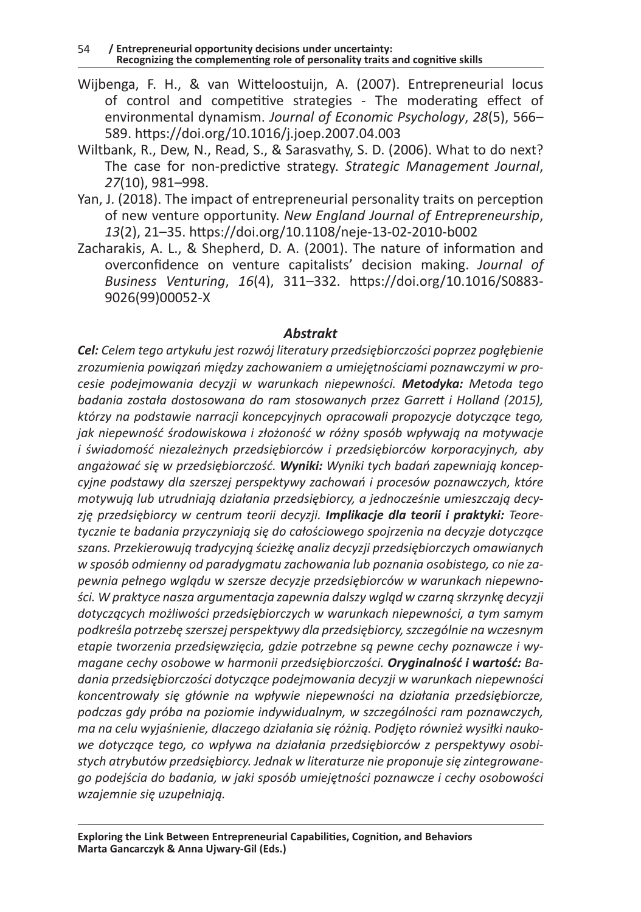- Wijbenga, F. H., & van Witteloostuijn, A. (2007). Entrepreneurial locus of control and competitive strategies - The moderating effect of environmental dynamism. *Journal of Economic Psychology*, *28*(5), 566– 589. https://doi.org/10.1016/j.joep.2007.04.003
- Wiltbank, R., Dew, N., Read, S., & Sarasvathy, S. D. (2006). What to do next? The case for non-predictive strategy. *Strategic Management Journal*, *27*(10), 981–998.
- Yan, J. (2018). The impact of entrepreneurial personality traits on perception of new venture opportunity. *New England Journal of Entrepreneurship*, *13*(2), 21–35. https://doi.org/10.1108/neje-13-02-2010-b002
- Zacharakis, A. L., & Shepherd, D. A. (2001). The nature of information and overconfidence on venture capitalists' decision making. *Journal of Business Venturing*, *16*(4), 311–332. https://doi.org/10.1016/S0883- 9026(99)00052-X

#### *Abstrakt*

*Cel: Celem tego artykułu jest rozwój literatury przedsiębiorczości poprzez pogłębienie zrozumienia powiązań między zachowaniem a umiejętnościami poznawczymi w procesie podejmowania decyzji w warunkach niepewności. Metodyka: Metoda tego badania została dostosowana do ram stosowanych przez Garrett i Holland (2015), którzy na podstawie narracji koncepcyjnych opracowali propozycje dotyczące tego, jak niepewność środowiskowa i złożoność w różny sposób wpływają na motywacje i świadomość niezależnych przedsiębiorców i przedsiębiorców korporacyjnych, aby angażować się w przedsiębiorczość. Wyniki: Wyniki tych badań zapewniają koncepcyjne podstawy dla szerszej perspektywy zachowań i procesów poznawczych, które motywują lub utrudniają działania przedsiębiorcy, a jednocześnie umieszczają decyzję przedsiębiorcy w centrum teorii decyzji. Implikacje dla teorii i praktyki: Teoretycznie te badania przyczyniają się do całościowego spojrzenia na decyzje dotyczące szans. Przekierowują tradycyjną ścieżkę analiz decyzji przedsiębiorczych omawianych w sposób odmienny od paradygmatu zachowania lub poznania osobistego, co nie zapewnia pełnego wglądu w szersze decyzje przedsiębiorców w warunkach niepewności. W praktyce nasza argumentacja zapewnia dalszy wgląd w czarną skrzynkę decyzji dotyczących możliwości przedsiębiorczych w warunkach niepewności, a tym samym podkreśla potrzebę szerszej perspektywy dla przedsiębiorcy, szczególnie na wczesnym etapie tworzenia przedsięwzięcia, gdzie potrzebne są pewne cechy poznawcze i wymagane cechy osobowe w harmonii przedsiębiorczości. Oryginalność i wartość: Badania przedsiębiorczości dotyczące podejmowania decyzji w warunkach niepewności koncentrowały się głównie na wpływie niepewności na działania przedsiębiorcze, podczas gdy próba na poziomie indywidualnym, w szczególności ram poznawczych, ma na celu wyjaśnienie, dlaczego działania się różnią. Podjęto również wysiłki naukowe dotyczące tego, co wpływa na działania przedsiębiorców z perspektywy osobistych atrybutów przedsiębiorcy. Jednak w literaturze nie proponuje się zintegrowanego podejścia do badania, w jaki sposób umiejętności poznawcze i cechy osobowości wzajemnie się uzupełniają.*